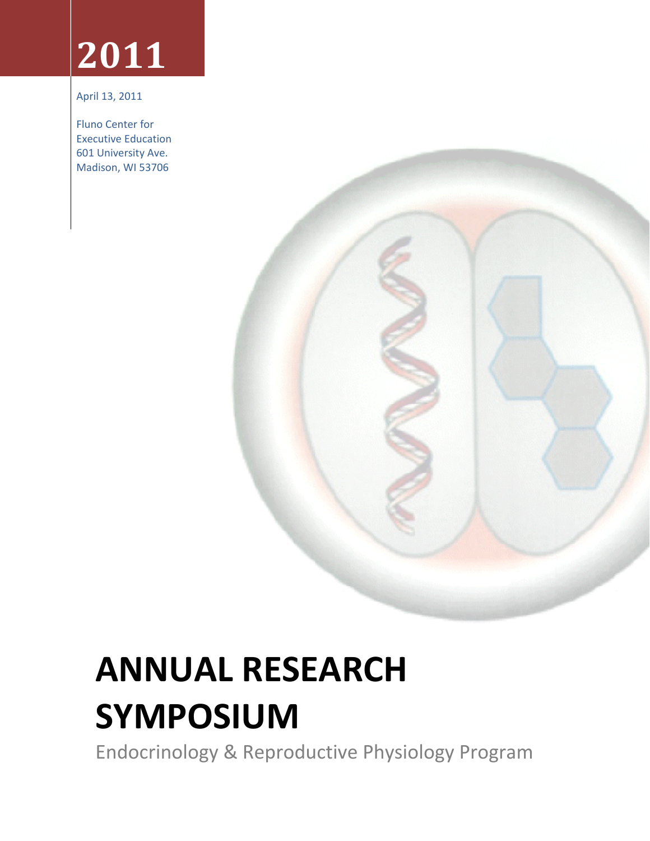# **2011**

April 13, 2011

Fluno Center for Executive Education 601 University Ave. Madison, WI 53706



# **ANNUAL RESEARCH SYMPOSIUM**

Endocrinology & Reproductive Physiology Program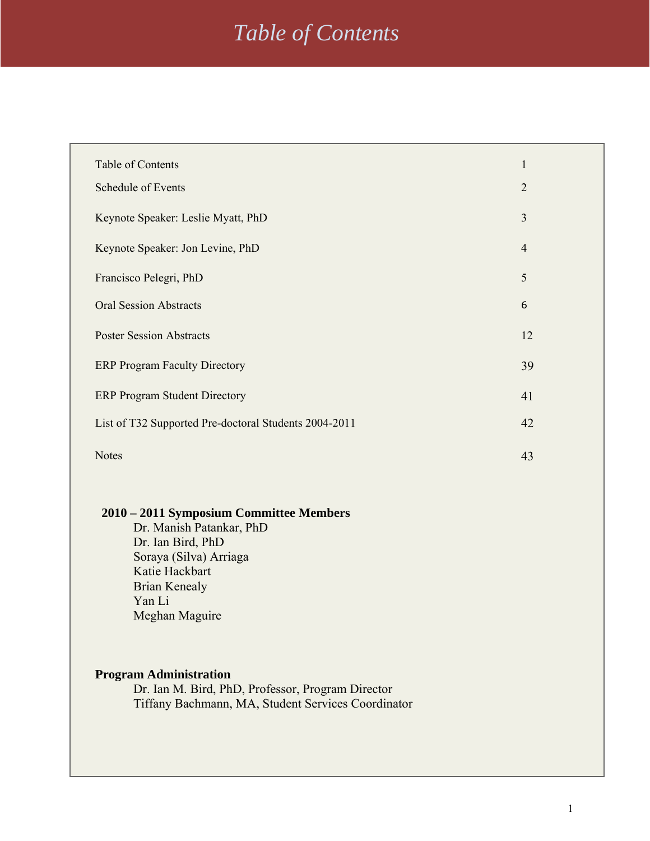# *Table of Contents*

| Table of Contents                                     | 1              |
|-------------------------------------------------------|----------------|
| Schedule of Events                                    | $\overline{2}$ |
| Keynote Speaker: Leslie Myatt, PhD                    | $\overline{3}$ |
| Keynote Speaker: Jon Levine, PhD                      | $\overline{4}$ |
| Francisco Pelegri, PhD                                | 5              |
| <b>Oral Session Abstracts</b>                         | $\epsilon$     |
| <b>Poster Session Abstracts</b>                       | 12             |
| <b>ERP Program Faculty Directory</b>                  | 39             |
| <b>ERP Program Student Directory</b>                  | 41             |
| List of T32 Supported Pre-doctoral Students 2004-2011 | 42             |
| <b>Notes</b>                                          | 43             |
|                                                       |                |

 **2010 – 2011 Symposium Committee Members** 

Dr. Manish Patankar, PhD Dr. Ian Bird, PhD Soraya (Silva) Arriaga Katie Hackbart Brian Kenealy Yan Li Meghan Maguire

## **Program Administration**

 Dr. Ian M. Bird, PhD, Professor, Program Director Tiffany Bachmann, MA, Student Services Coordinator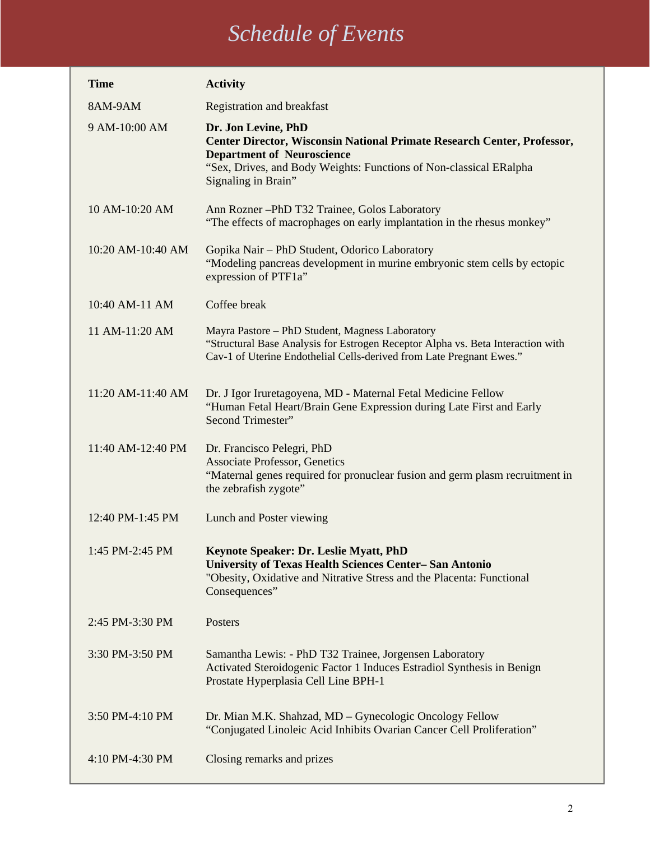# *Schedule of Events*

| <b>Time</b>       | <b>Activity</b>                                                                                                                                                                                                                  |
|-------------------|----------------------------------------------------------------------------------------------------------------------------------------------------------------------------------------------------------------------------------|
| 8AM-9AM           | <b>Registration and breakfast</b>                                                                                                                                                                                                |
| 9 AM-10:00 AM     | Dr. Jon Levine, PhD<br>Center Director, Wisconsin National Primate Research Center, Professor,<br><b>Department of Neuroscience</b><br>"Sex, Drives, and Body Weights: Functions of Non-classical ERalpha<br>Signaling in Brain" |
| 10 AM-10:20 AM    | Ann Rozner - PhD T32 Trainee, Golos Laboratory<br>"The effects of macrophages on early implantation in the rhesus monkey"                                                                                                        |
| 10:20 AM-10:40 AM | Gopika Nair - PhD Student, Odorico Laboratory<br>"Modeling pancreas development in murine embryonic stem cells by ectopic<br>expression of PTF1a"                                                                                |
| 10:40 AM-11 AM    | Coffee break                                                                                                                                                                                                                     |
| 11 AM-11:20 AM    | Mayra Pastore - PhD Student, Magness Laboratory<br>"Structural Base Analysis for Estrogen Receptor Alpha vs. Beta Interaction with<br>Cav-1 of Uterine Endothelial Cells-derived from Late Pregnant Ewes."                       |
| 11:20 AM-11:40 AM | Dr. J Igor Iruretagoyena, MD - Maternal Fetal Medicine Fellow<br>"Human Fetal Heart/Brain Gene Expression during Late First and Early<br>Second Trimester"                                                                       |
| 11:40 AM-12:40 PM | Dr. Francisco Pelegri, PhD<br><b>Associate Professor, Genetics</b><br>"Maternal genes required for pronuclear fusion and germ plasm recruitment in<br>the zebrafish zygote"                                                      |
| 12:40 PM-1:45 PM  | Lunch and Poster viewing                                                                                                                                                                                                         |
| 1:45 PM-2:45 PM   | <b>Keynote Speaker: Dr. Leslie Myatt, PhD</b><br><b>University of Texas Health Sciences Center-San Antonio</b><br>"Obesity, Oxidative and Nitrative Stress and the Placenta: Functional<br>Consequences"                         |
| 2:45 PM-3:30 PM   | Posters                                                                                                                                                                                                                          |
| 3:30 PM-3:50 PM   | Samantha Lewis: - PhD T32 Trainee, Jorgensen Laboratory<br>Activated Steroidogenic Factor 1 Induces Estradiol Synthesis in Benign<br>Prostate Hyperplasia Cell Line BPH-1                                                        |
| 3:50 PM-4:10 PM   | Dr. Mian M.K. Shahzad, MD - Gynecologic Oncology Fellow<br>"Conjugated Linoleic Acid Inhibits Ovarian Cancer Cell Proliferation"                                                                                                 |
| 4:10 PM-4:30 PM   | Closing remarks and prizes                                                                                                                                                                                                       |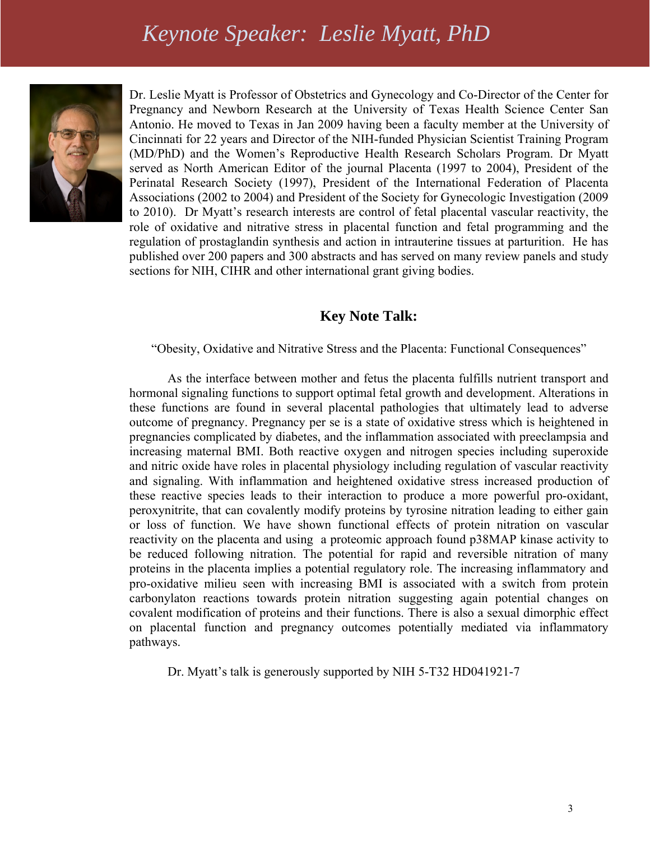# *Keynote Speaker: Leslie Myatt, PhD*



Dr. Leslie Myatt is Professor of Obstetrics and Gynecology and Co-Director of the Center for Pregnancy and Newborn Research at the University of Texas Health Science Center San Antonio. He moved to Texas in Jan 2009 having been a faculty member at the University of Cincinnati for 22 years and Director of the NIH-funded Physician Scientist Training Program (MD/PhD) and the Women's Reproductive Health Research Scholars Program. Dr Myatt served as North American Editor of the journal Placenta (1997 to 2004), President of the Perinatal Research Society (1997), President of the International Federation of Placenta Associations (2002 to 2004) and President of the Society for Gynecologic Investigation (2009 to 2010). Dr Myatt's research interests are control of fetal placental vascular reactivity, the role of oxidative and nitrative stress in placental function and fetal programming and the regulation of prostaglandin synthesis and action in intrauterine tissues at parturition. He has published over 200 papers and 300 abstracts and has served on many review panels and study sections for NIH, CIHR and other international grant giving bodies.

### **Key Note Talk:**

"Obesity, Oxidative and Nitrative Stress and the Placenta: Functional Consequences"

As the interface between mother and fetus the placenta fulfills nutrient transport and hormonal signaling functions to support optimal fetal growth and development. Alterations in these functions are found in several placental pathologies that ultimately lead to adverse outcome of pregnancy. Pregnancy per se is a state of oxidative stress which is heightened in pregnancies complicated by diabetes, and the inflammation associated with preeclampsia and increasing maternal BMI. Both reactive oxygen and nitrogen species including superoxide and nitric oxide have roles in placental physiology including regulation of vascular reactivity and signaling. With inflammation and heightened oxidative stress increased production of these reactive species leads to their interaction to produce a more powerful pro-oxidant, peroxynitrite, that can covalently modify proteins by tyrosine nitration leading to either gain or loss of function. We have shown functional effects of protein nitration on vascular reactivity on the placenta and using a proteomic approach found p38MAP kinase activity to be reduced following nitration. The potential for rapid and reversible nitration of many proteins in the placenta implies a potential regulatory role. The increasing inflammatory and pro-oxidative milieu seen with increasing BMI is associated with a switch from protein carbonylaton reactions towards protein nitration suggesting again potential changes on covalent modification of proteins and their functions. There is also a sexual dimorphic effect on placental function and pregnancy outcomes potentially mediated via inflammatory pathways.

Dr. Myatt's talk is generously supported by NIH 5-T32 HD041921-7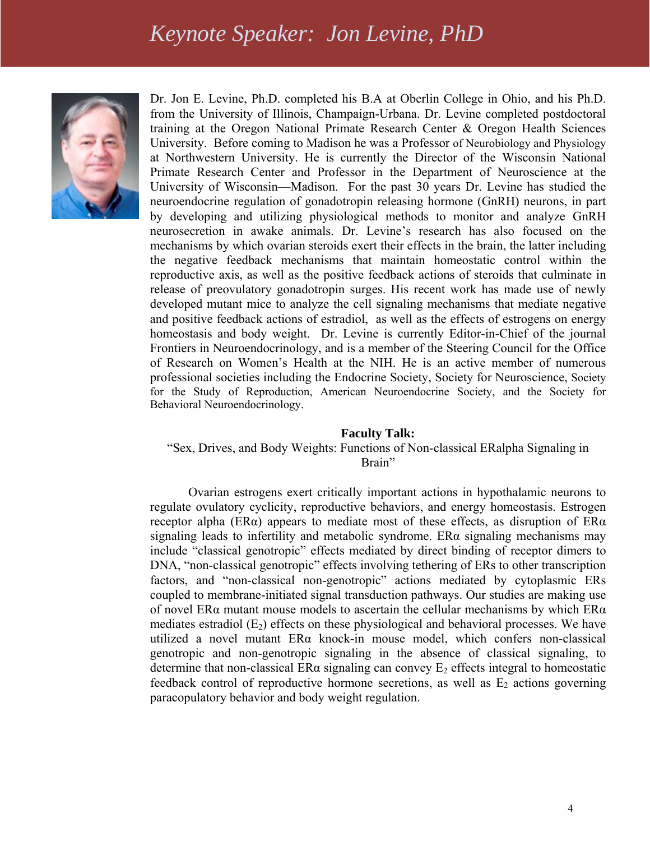## *Keynote Speaker: Jon Levine, PhD*



Dr. Jon E. Levine, Ph.D. completed his B.A at Oberlin College in Ohio, and his Ph.D. from the University of Illinois, Champaign-Urbana. Dr. Levine completed postdoctoral training at the Oregon National Primate Research Center & Oregon Health Sciences University. Before coming to Madison he was a Professor of Neurobiology and Physiology at Northwestern University. He is currently the Director of the Wisconsin National Primate Research Center and Professor in the Department of Neuroscience at the University of Wisconsin—Madison. For the past 30 years Dr. Levine has studied the neuroendocrine regulation of gonadotropin releasing hormone (GnRH) neurons, in part by developing and utilizing physiological methods to monitor and analyze GnRH neurosecretion in awake animals. Dr. Levine's research has also focused on the mechanisms by which ovarian steroids exert their effects in the brain, the latter including the negative feedback mechanisms that maintain homeostatic control within the reproductive axis, as well as the positive feedback actions of steroids that culminate in release of preovulatory gonadotropin surges. His recent work has made use of newly developed mutant mice to analyze the cell signaling mechanisms that mediate negative and positive feedback actions of estradiol, as well as the effects of estrogens on energy homeostasis and body weight. Dr. Levine is currently Editor-in-Chief of the journal Frontiers in Neuroendocrinology, and is a member of the Steering Council for the Office of Research on Women's Health at the NIH. He is an active member of numerous professional societies including the Endocrine Society, Society for Neuroscience, Society for the Study of Reproduction, American Neuroendocrine Society, and the Society for Behavioral Neuroendocrinology.

#### **Faculty Talk:**

"Sex, Drives, and Body Weights: Functions of Non-classical ERalpha Signaling in Brain"

Ovarian estrogens exert critically important actions in hypothalamic neurons to regulate ovulatory cyclicity, reproductive behaviors, and energy homeostasis. Estrogen receptor alpha (ER $\alpha$ ) appears to mediate most of these effects, as disruption of ER $\alpha$ signaling leads to infertility and metabolic syndrome. ER $\alpha$  signaling mechanisms may include "classical genotropic" effects mediated by direct binding of receptor dimers to DNA, "non-classical genotropic" effects involving tethering of ERs to other transcription factors, and "non-classical non-genotropic" actions mediated by cytoplasmic ERs coupled to membrane-initiated signal transduction pathways. Our studies are making use of novel ERα mutant mouse models to ascertain the cellular mechanisms by which ERα mediates estradiol  $(E_2)$  effects on these physiological and behavioral processes. We have utilized a novel mutant ERα knock-in mouse model, which confers non-classical genotropic and non-genotropic signaling in the absence of classical signaling, to determine that non-classical ER $\alpha$  signaling can convey  $E_2$  effects integral to homeostatic feedback control of reproductive hormone secretions, as well as  $E_2$  actions governing paracopulatory behavior and body weight regulation.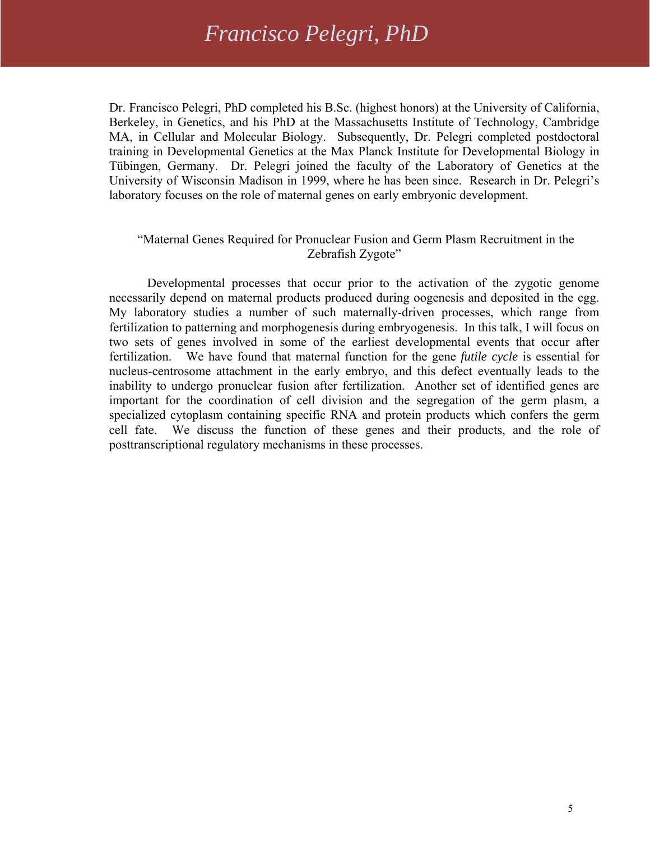## *Francisco Pelegri, PhD*

Dr. Francisco Pelegri, PhD completed his B.Sc. (highest honors) at the University of California, Berkeley, in Genetics, and his PhD at the Massachusetts Institute of Technology, Cambridge MA, in Cellular and Molecular Biology. Subsequently, Dr. Pelegri completed postdoctoral training in Developmental Genetics at the Max Planck Institute for Developmental Biology in Tübingen, Germany. Dr. Pelegri joined the faculty of the Laboratory of Genetics at the University of Wisconsin Madison in 1999, where he has been since. Research in Dr. Pelegri's laboratory focuses on the role of maternal genes on early embryonic development.

#### "Maternal Genes Required for Pronuclear Fusion and Germ Plasm Recruitment in the Zebrafish Zygote"

Developmental processes that occur prior to the activation of the zygotic genome necessarily depend on maternal products produced during oogenesis and deposited in the egg. My laboratory studies a number of such maternally-driven processes, which range from fertilization to patterning and morphogenesis during embryogenesis. In this talk, I will focus on two sets of genes involved in some of the earliest developmental events that occur after fertilization. We have found that maternal function for the gene *futile cycle* is essential for nucleus-centrosome attachment in the early embryo, and this defect eventually leads to the inability to undergo pronuclear fusion after fertilization. Another set of identified genes are important for the coordination of cell division and the segregation of the germ plasm, a specialized cytoplasm containing specific RNA and protein products which confers the germ cell fate. We discuss the function of these genes and their products, and the role of posttranscriptional regulatory mechanisms in these processes.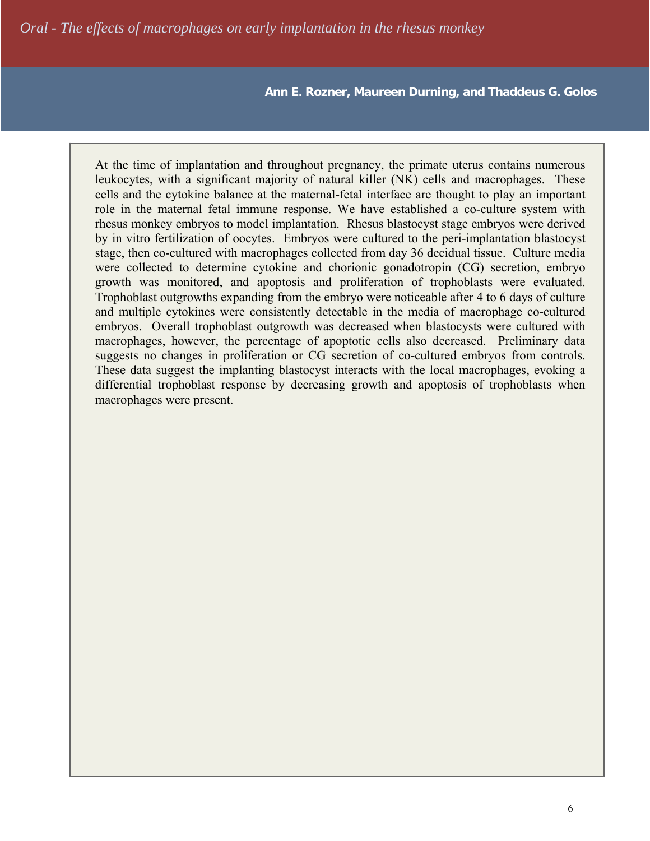## *Oral - The effects of macrophages on early implantation in the rhesus monkey*

**Ann E. Rozner, Maureen Durning, and Thaddeus G. Golos** 

At the time of implantation and throughout pregnancy, the primate uterus contains numerous leukocytes, with a significant majority of natural killer (NK) cells and macrophages. These cells and the cytokine balance at the maternal-fetal interface are thought to play an important role in the maternal fetal immune response. We have established a co-culture system with rhesus monkey embryos to model implantation. Rhesus blastocyst stage embryos were derived by in vitro fertilization of oocytes. Embryos were cultured to the peri-implantation blastocyst stage, then co-cultured with macrophages collected from day 36 decidual tissue. Culture media were collected to determine cytokine and chorionic gonadotropin (CG) secretion, embryo growth was monitored, and apoptosis and proliferation of trophoblasts were evaluated. Trophoblast outgrowths expanding from the embryo were noticeable after 4 to 6 days of culture and multiple cytokines were consistently detectable in the media of macrophage co-cultured embryos. Overall trophoblast outgrowth was decreased when blastocysts were cultured with macrophages, however, the percentage of apoptotic cells also decreased. Preliminary data suggests no changes in proliferation or CG secretion of co-cultured embryos from controls. These data suggest the implanting blastocyst interacts with the local macrophages, evoking a differential trophoblast response by decreasing growth and apoptosis of trophoblasts when macrophages were present.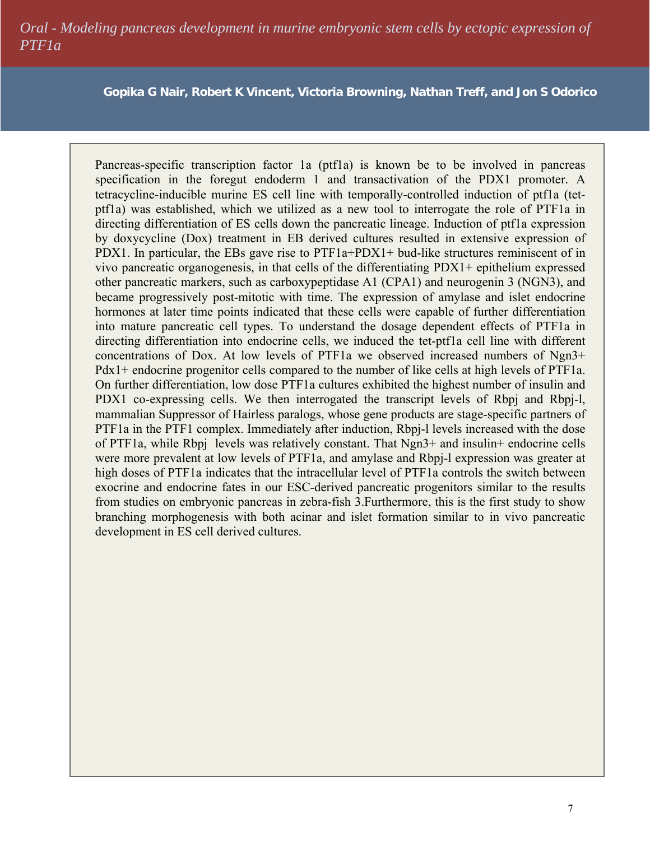## *Oral - Modeling pancreas development in murine embryonic stem cells by ectopic expression of PTF1a*

**Gopika G Nair, Robert K Vincent, Victoria Browning, Nathan Treff, and Jon S Odorico** 

Pancreas-specific transcription factor 1a (ptf1a) is known be to be involved in pancreas specification in the foregut endoderm 1 and transactivation of the PDX1 promoter. A tetracycline-inducible murine ES cell line with temporally-controlled induction of ptf1a (tetptf1a) was established, which we utilized as a new tool to interrogate the role of PTF1a in directing differentiation of ES cells down the pancreatic lineage. Induction of ptf1a expression by doxycycline (Dox) treatment in EB derived cultures resulted in extensive expression of PDX1. In particular, the EBs gave rise to PTF1a+PDX1+ bud-like structures reminiscent of in vivo pancreatic organogenesis, in that cells of the differentiating PDX1+ epithelium expressed other pancreatic markers, such as carboxypeptidase A1 (CPA1) and neurogenin 3 (NGN3), and became progressively post-mitotic with time. The expression of amylase and islet endocrine hormones at later time points indicated that these cells were capable of further differentiation into mature pancreatic cell types. To understand the dosage dependent effects of PTF1a in directing differentiation into endocrine cells, we induced the tet-ptf1a cell line with different concentrations of Dox. At low levels of PTF1a we observed increased numbers of Ngn3+ Pdx1+ endocrine progenitor cells compared to the number of like cells at high levels of PTF1a. On further differentiation, low dose PTF1a cultures exhibited the highest number of insulin and PDX1 co-expressing cells. We then interrogated the transcript levels of Rbpj and Rbpj-l, mammalian Suppressor of Hairless paralogs, whose gene products are stage-specific partners of PTF1a in the PTF1 complex. Immediately after induction, Rbpj-l levels increased with the dose of PTF1a, while Rbpj levels was relatively constant. That Ngn3+ and insulin+ endocrine cells were more prevalent at low levels of PTF1a, and amylase and Rbpj-l expression was greater at high doses of PTF1a indicates that the intracellular level of PTF1a controls the switch between exocrine and endocrine fates in our ESC-derived pancreatic progenitors similar to the results from studies on embryonic pancreas in zebra-fish 3.Furthermore, this is the first study to show branching morphogenesis with both acinar and islet formation similar to in vivo pancreatic development in ES cell derived cultures.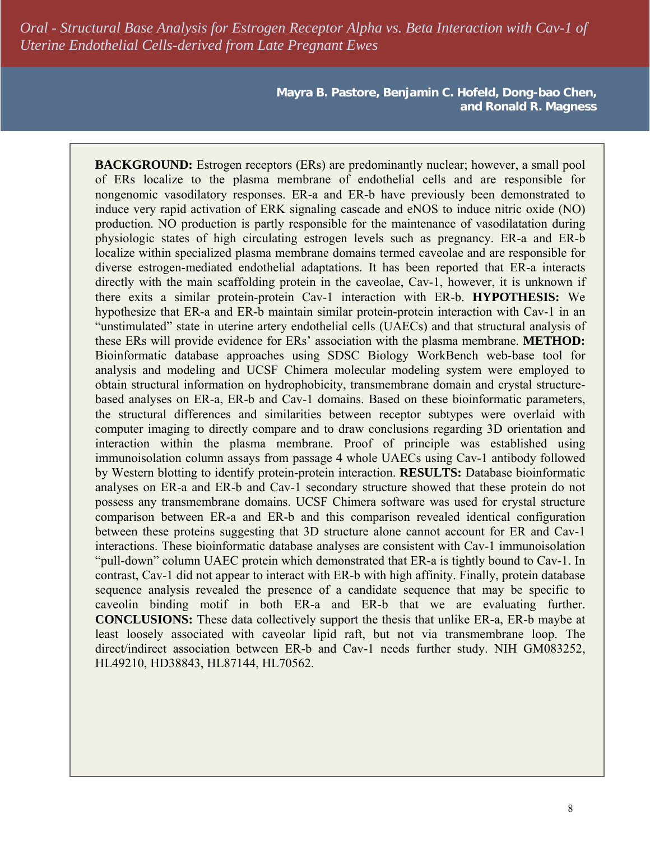*Oral - Structural Base Analysis for Estrogen Receptor Alpha vs. Beta Interaction with Cav-1 of Uterine Endothelial Cells-derived from Late Pregnant Ewes* 

> **Mayra B. Pastore, Benjamin C. Hofeld, Dong-bao Chen, and Ronald R. Magness**

**BACKGROUND:** Estrogen receptors (ERs) are predominantly nuclear; however, a small pool of ERs localize to the plasma membrane of endothelial cells and are responsible for nongenomic vasodilatory responses. ER-a and ER-b have previously been demonstrated to induce very rapid activation of ERK signaling cascade and eNOS to induce nitric oxide (NO) production. NO production is partly responsible for the maintenance of vasodilatation during physiologic states of high circulating estrogen levels such as pregnancy. ER-a and ER-b localize within specialized plasma membrane domains termed caveolae and are responsible for diverse estrogen-mediated endothelial adaptations. It has been reported that ER-a interacts directly with the main scaffolding protein in the caveolae, Cav-1, however, it is unknown if there exits a similar protein-protein Cav-1 interaction with ER-b. **HYPOTHESIS:** We hypothesize that ER-a and ER-b maintain similar protein-protein interaction with Cav-1 in an "unstimulated" state in uterine artery endothelial cells (UAECs) and that structural analysis of these ERs will provide evidence for ERs' association with the plasma membrane. **METHOD:** Bioinformatic database approaches using SDSC Biology WorkBench web-base tool for analysis and modeling and UCSF Chimera molecular modeling system were employed to obtain structural information on hydrophobicity, transmembrane domain and crystal structurebased analyses on ER-a, ER-b and Cav-1 domains. Based on these bioinformatic parameters, the structural differences and similarities between receptor subtypes were overlaid with computer imaging to directly compare and to draw conclusions regarding 3D orientation and interaction within the plasma membrane. Proof of principle was established using immunoisolation column assays from passage 4 whole UAECs using Cav-1 antibody followed by Western blotting to identify protein-protein interaction. **RESULTS:** Database bioinformatic analyses on ER-a and ER-b and Cav-1 secondary structure showed that these protein do not possess any transmembrane domains. UCSF Chimera software was used for crystal structure comparison between ER-a and ER-b and this comparison revealed identical configuration between these proteins suggesting that 3D structure alone cannot account for ER and Cav-1 interactions. These bioinformatic database analyses are consistent with Cav-1 immunoisolation "pull-down" column UAEC protein which demonstrated that ER-a is tightly bound to Cav-1. In contrast, Cav-1 did not appear to interact with ER-b with high affinity. Finally, protein database sequence analysis revealed the presence of a candidate sequence that may be specific to caveolin binding motif in both ER-a and ER-b that we are evaluating further. **CONCLUSIONS:** These data collectively support the thesis that unlike ER-a, ER-b maybe at least loosely associated with caveolar lipid raft, but not via transmembrane loop. The direct/indirect association between ER-b and Cav-1 needs further study. NIH GM083252, HL49210, HD38843, HL87144, HL70562.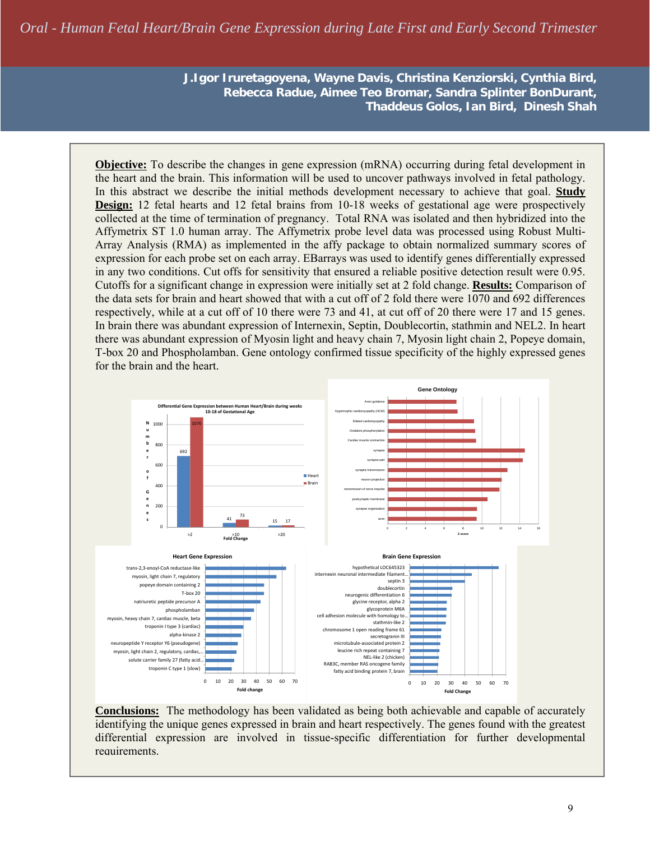**J.Igor Iruretagoyena, Wayne Davis, Christina Kenziorski, Cynthia Bird, Rebecca Radue, Aimee Teo Bromar, Sandra Splinter BonDurant, Thaddeus Golos, Ian Bird, Dinesh Shah** 

**Objective:** To describe the changes in gene expression (mRNA) occurring during fetal development in the heart and the brain. This information will be used to uncover pathways involved in fetal pathology. In this abstract we describe the initial methods development necessary to achieve that goal. **Study Design:** 12 fetal hearts and 12 fetal brains from 10-18 weeks of gestational age were prospectively collected at the time of termination of pregnancy. Total RNA was isolated and then hybridized into the Affymetrix ST 1.0 human array. The Affymetrix probe level data was processed using Robust Multi-Array Analysis (RMA) as implemented in the affy package to obtain normalized summary scores of expression for each probe set on each array. EBarrays was used to identify genes differentially expressed in any two conditions. Cut offs for sensitivity that ensured a reliable positive detection result were 0.95. Cutoffs for a significant change in expression were initially set at 2 fold change. **Results:** Comparison of the data sets for brain and heart showed that with a cut off of 2 fold there were 1070 and 692 differences respectively, while at a cut off of 10 there were 73 and 41, at cut off of 20 there were 17 and 15 genes. In brain there was abundant expression of Internexin, Septin, Doublecortin, stathmin and NEL2. In heart there was abundant expression of Myosin light and heavy chain 7, Myosin light chain 2, Popeye domain, T-box 20 and Phospholamban. Gene ontology confirmed tissue specificity of the highly expressed genes for the brain and the heart.



**Conclusions:** The methodology has been validated as being both achievable and capable of accurately identifying the unique genes expressed in brain and heart respectively. The genes found with the greatest differential expression are involved in tissue-specific differentiation for further developmental requirements.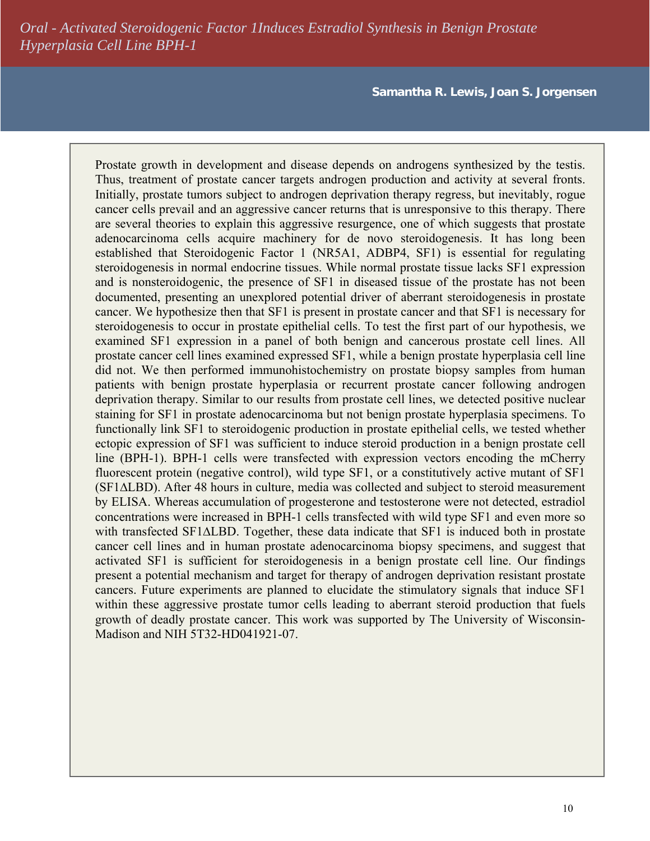**Samantha R. Lewis, Joan S. Jorgensen** 

Prostate growth in development and disease depends on androgens synthesized by the testis. Thus, treatment of prostate cancer targets androgen production and activity at several fronts. Initially, prostate tumors subject to androgen deprivation therapy regress, but inevitably, rogue cancer cells prevail and an aggressive cancer returns that is unresponsive to this therapy. There are several theories to explain this aggressive resurgence, one of which suggests that prostate adenocarcinoma cells acquire machinery for de novo steroidogenesis. It has long been established that Steroidogenic Factor 1 (NR5A1, ADBP4, SF1) is essential for regulating steroidogenesis in normal endocrine tissues. While normal prostate tissue lacks SF1 expression and is nonsteroidogenic, the presence of SF1 in diseased tissue of the prostate has not been documented, presenting an unexplored potential driver of aberrant steroidogenesis in prostate cancer. We hypothesize then that SF1 is present in prostate cancer and that SF1 is necessary for steroidogenesis to occur in prostate epithelial cells. To test the first part of our hypothesis, we examined SF1 expression in a panel of both benign and cancerous prostate cell lines. All prostate cancer cell lines examined expressed SF1, while a benign prostate hyperplasia cell line did not. We then performed immunohistochemistry on prostate biopsy samples from human patients with benign prostate hyperplasia or recurrent prostate cancer following androgen deprivation therapy. Similar to our results from prostate cell lines, we detected positive nuclear staining for SF1 in prostate adenocarcinoma but not benign prostate hyperplasia specimens. To functionally link SF1 to steroidogenic production in prostate epithelial cells, we tested whether ectopic expression of SF1 was sufficient to induce steroid production in a benign prostate cell line (BPH-1). BPH-1 cells were transfected with expression vectors encoding the mCherry fluorescent protein (negative control), wild type SF1, or a constitutively active mutant of SF1 (SF1∆LBD). After 48 hours in culture, media was collected and subject to steroid measurement by ELISA. Whereas accumulation of progesterone and testosterone were not detected, estradiol concentrations were increased in BPH-1 cells transfected with wild type SF1 and even more so with transfected SF1∆LBD. Together, these data indicate that SF1 is induced both in prostate cancer cell lines and in human prostate adenocarcinoma biopsy specimens, and suggest that activated SF1 is sufficient for steroidogenesis in a benign prostate cell line. Our findings present a potential mechanism and target for therapy of androgen deprivation resistant prostate cancers. Future experiments are planned to elucidate the stimulatory signals that induce SF1 within these aggressive prostate tumor cells leading to aberrant steroid production that fuels growth of deadly prostate cancer. This work was supported by The University of Wisconsin-Madison and NIH 5T32-HD041921-07.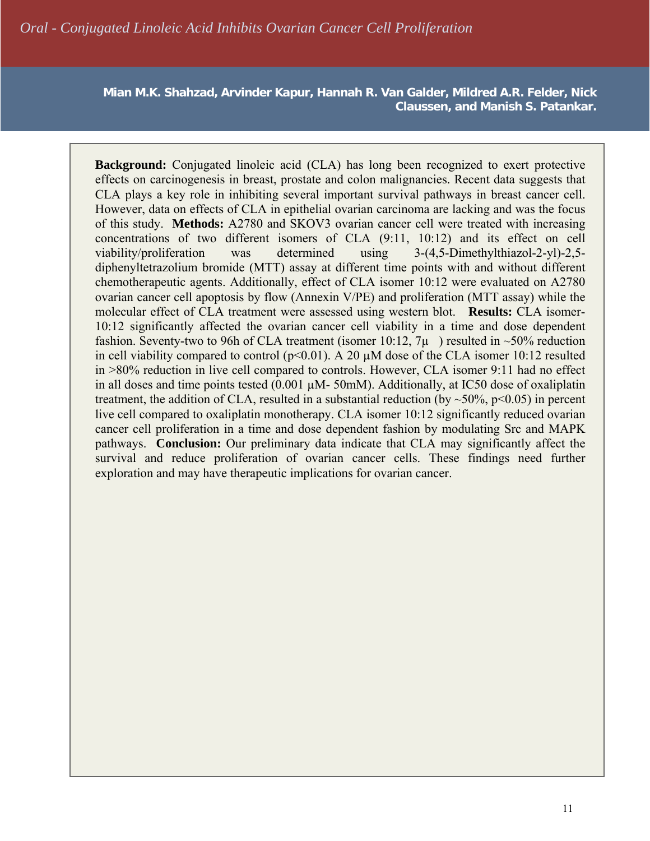**Mian M.K. Shahzad, Arvinder Kapur, Hannah R. Van Galder, Mildred A.R. Felder, Nick Claussen, and Manish S. Patankar.** 

**Background:** Conjugated linoleic acid (CLA) has long been recognized to exert protective effects on carcinogenesis in breast, prostate and colon malignancies. Recent data suggests that CLA plays a key role in inhibiting several important survival pathways in breast cancer cell. However, data on effects of CLA in epithelial ovarian carcinoma are lacking and was the focus of this study. **Methods:** A2780 and SKOV3 ovarian cancer cell were treated with increasing concentrations of two different isomers of CLA (9:11, 10:12) and its effect on cell viability/proliferation was determined using 3-(4,5-Dimethylthiazol-2-yl)-2,5 diphenyltetrazolium bromide (MTT) assay at different time points with and without different chemotherapeutic agents. Additionally, effect of CLA isomer 10:12 were evaluated on A2780 ovarian cancer cell apoptosis by flow (Annexin V/PE) and proliferation (MTT assay) while the molecular effect of CLA treatment were assessed using western blot. **Results:** CLA isomer-10:12 significantly affected the ovarian cancer cell viability in a time and dose dependent fashion. Seventy-two to 96h of CLA treatment (isomer 10:12, 7 $\mu$ ) resulted in ~50% reduction in cell viability compared to control ( $p<0.01$ ). A 20  $\mu$ M dose of the CLA isomer 10:12 resulted in >80% reduction in live cell compared to controls. However, CLA isomer 9:11 had no effect in all doses and time points tested (0.001 µM- 50mM). Additionally, at IC50 dose of oxaliplatin treatment, the addition of CLA, resulted in a substantial reduction (by  $\sim$ 50%, p $\leq$ 0.05) in percent live cell compared to oxaliplatin monotherapy. CLA isomer 10:12 significantly reduced ovarian cancer cell proliferation in a time and dose dependent fashion by modulating Src and MAPK pathways. **Conclusion:** Our preliminary data indicate that CLA may significantly affect the survival and reduce proliferation of ovarian cancer cells. These findings need further exploration and may have therapeutic implications for ovarian cancer.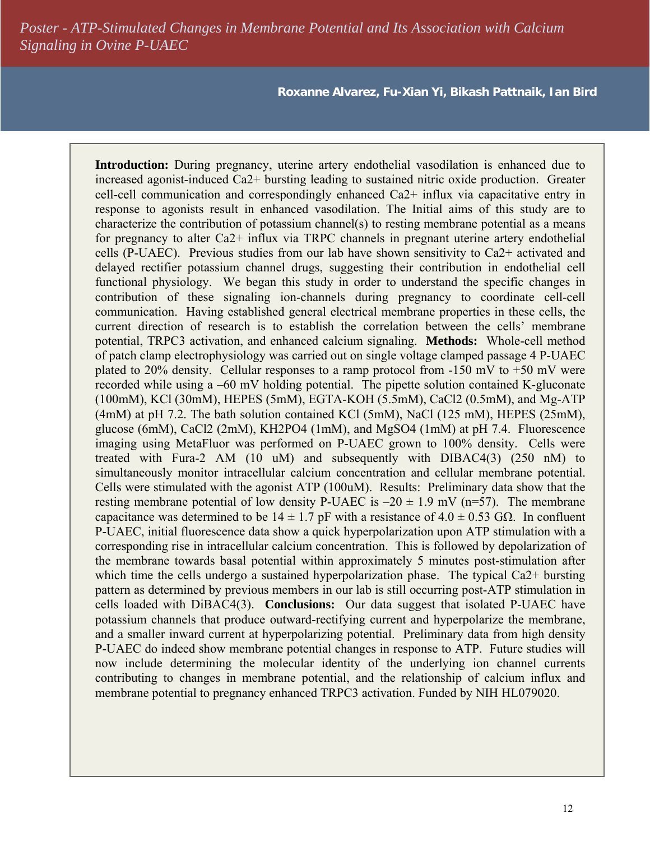**Roxanne Alvarez, Fu-Xian Yi, Bikash Pattnaik, Ian Bird** 

**Introduction:** During pregnancy, uterine artery endothelial vasodilation is enhanced due to increased agonist-induced Ca2+ bursting leading to sustained nitric oxide production. Greater cell-cell communication and correspondingly enhanced Ca2+ influx via capacitative entry in response to agonists result in enhanced vasodilation. The Initial aims of this study are to characterize the contribution of potassium channel(s) to resting membrane potential as a means for pregnancy to alter Ca2+ influx via TRPC channels in pregnant uterine artery endothelial cells (P-UAEC). Previous studies from our lab have shown sensitivity to Ca2+ activated and delayed rectifier potassium channel drugs, suggesting their contribution in endothelial cell functional physiology. We began this study in order to understand the specific changes in contribution of these signaling ion-channels during pregnancy to coordinate cell-cell communication. Having established general electrical membrane properties in these cells, the current direction of research is to establish the correlation between the cells' membrane potential, TRPC3 activation, and enhanced calcium signaling. **Methods:** Whole-cell method of patch clamp electrophysiology was carried out on single voltage clamped passage 4 P-UAEC plated to 20% density. Cellular responses to a ramp protocol from -150 mV to  $+50$  mV were recorded while using a –60 mV holding potential. The pipette solution contained K-gluconate (100mM), KCl (30mM), HEPES (5mM), EGTA-KOH (5.5mM), CaCl2 (0.5mM), and Mg-ATP (4mM) at pH 7.2. The bath solution contained KCl (5mM), NaCl (125 mM), HEPES (25mM), glucose (6mM), CaCl2 (2mM), KH2PO4 (1mM), and MgSO4 (1mM) at pH 7.4. Fluorescence imaging using MetaFluor was performed on P-UAEC grown to 100% density. Cells were treated with Fura-2 AM (10 uM) and subsequently with DIBAC4(3) (250 nM) to simultaneously monitor intracellular calcium concentration and cellular membrane potential. Cells were stimulated with the agonist ATP (100uM). Results: Preliminary data show that the resting membrane potential of low density P-UAEC is  $-20 \pm 1.9$  mV (n=57). The membrane capacitance was determined to be  $14 \pm 1.7$  pF with a resistance of  $4.0 \pm 0.53$  GQ. In confluent P-UAEC, initial fluorescence data show a quick hyperpolarization upon ATP stimulation with a corresponding rise in intracellular calcium concentration. This is followed by depolarization of the membrane towards basal potential within approximately 5 minutes post-stimulation after which time the cells undergo a sustained hyperpolarization phase. The typical Ca2+ bursting pattern as determined by previous members in our lab is still occurring post-ATP stimulation in cells loaded with DiBAC4(3). **Conclusions:** Our data suggest that isolated P-UAEC have potassium channels that produce outward-rectifying current and hyperpolarize the membrane, and a smaller inward current at hyperpolarizing potential. Preliminary data from high density P-UAEC do indeed show membrane potential changes in response to ATP. Future studies will now include determining the molecular identity of the underlying ion channel currents contributing to changes in membrane potential, and the relationship of calcium influx and membrane potential to pregnancy enhanced TRPC3 activation. Funded by NIH HL079020.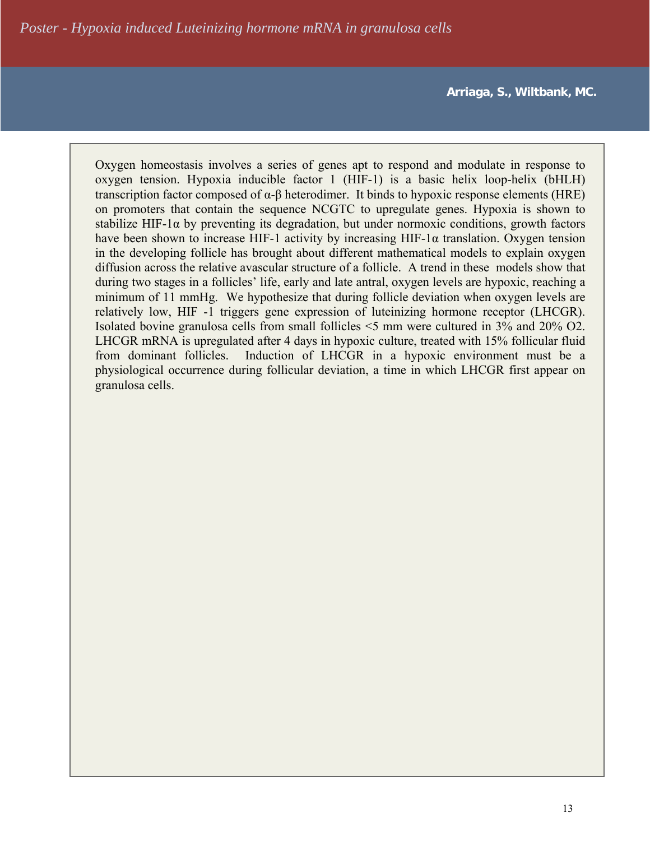**Arriaga, S., Wiltbank, MC.** 

Oxygen homeostasis involves a series of genes apt to respond and modulate in response to oxygen tension. Hypoxia inducible factor 1 (HIF-1) is a basic helix loop-helix (bHLH) transcription factor composed of α-β heterodimer. It binds to hypoxic response elements (HRE) on promoters that contain the sequence NCGTC to upregulate genes. Hypoxia is shown to stabilize HIF-1 $\alpha$  by preventing its degradation, but under normoxic conditions, growth factors have been shown to increase HIF-1 activity by increasing HIF-1α translation. Oxygen tension in the developing follicle has brought about different mathematical models to explain oxygen diffusion across the relative avascular structure of a follicle. A trend in these models show that during two stages in a follicles' life, early and late antral, oxygen levels are hypoxic, reaching a minimum of 11 mmHg. We hypothesize that during follicle deviation when oxygen levels are relatively low, HIF -1 triggers gene expression of luteinizing hormone receptor (LHCGR). Isolated bovine granulosa cells from small follicles <5 mm were cultured in 3% and 20% O2. LHCGR mRNA is upregulated after 4 days in hypoxic culture, treated with 15% follicular fluid from dominant follicles. Induction of LHCGR in a hypoxic environment must be a physiological occurrence during follicular deviation, a time in which LHCGR first appear on granulosa cells.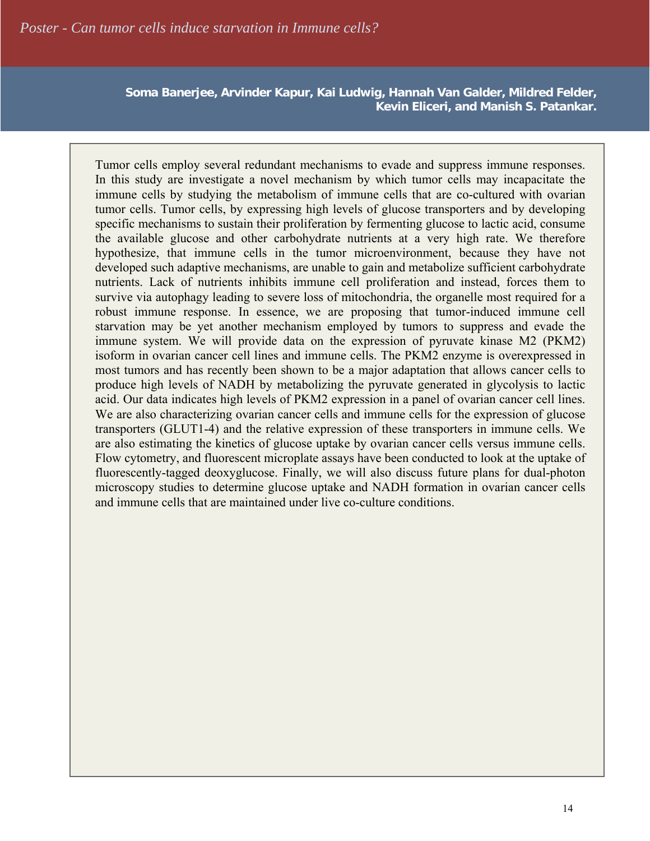**Soma Banerjee, Arvinder Kapur, Kai Ludwig, Hannah Van Galder, Mildred Felder, Kevin Eliceri, and Manish S. Patankar.** 

Tumor cells employ several redundant mechanisms to evade and suppress immune responses. In this study are investigate a novel mechanism by which tumor cells may incapacitate the immune cells by studying the metabolism of immune cells that are co-cultured with ovarian tumor cells. Tumor cells, by expressing high levels of glucose transporters and by developing specific mechanisms to sustain their proliferation by fermenting glucose to lactic acid, consume the available glucose and other carbohydrate nutrients at a very high rate. We therefore hypothesize, that immune cells in the tumor microenvironment, because they have not developed such adaptive mechanisms, are unable to gain and metabolize sufficient carbohydrate nutrients. Lack of nutrients inhibits immune cell proliferation and instead, forces them to survive via autophagy leading to severe loss of mitochondria, the organelle most required for a robust immune response. In essence, we are proposing that tumor-induced immune cell starvation may be yet another mechanism employed by tumors to suppress and evade the immune system. We will provide data on the expression of pyruvate kinase M2 (PKM2) isoform in ovarian cancer cell lines and immune cells. The PKM2 enzyme is overexpressed in most tumors and has recently been shown to be a major adaptation that allows cancer cells to produce high levels of NADH by metabolizing the pyruvate generated in glycolysis to lactic acid. Our data indicates high levels of PKM2 expression in a panel of ovarian cancer cell lines. We are also characterizing ovarian cancer cells and immune cells for the expression of glucose transporters (GLUT1-4) and the relative expression of these transporters in immune cells. We are also estimating the kinetics of glucose uptake by ovarian cancer cells versus immune cells. Flow cytometry, and fluorescent microplate assays have been conducted to look at the uptake of fluorescently-tagged deoxyglucose. Finally, we will also discuss future plans for dual-photon microscopy studies to determine glucose uptake and NADH formation in ovarian cancer cells and immune cells that are maintained under live co-culture conditions.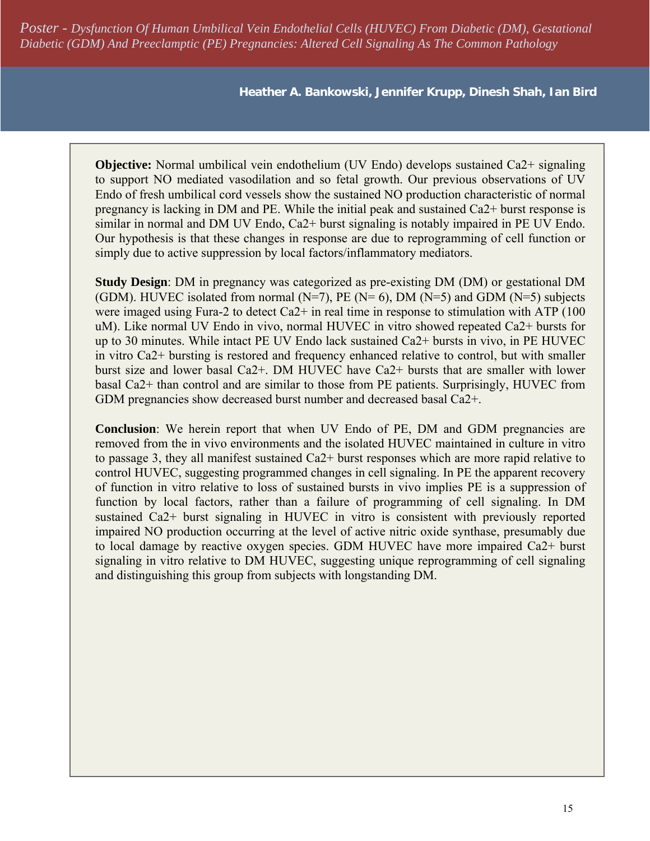*Poster - Dysfunction Of Human Umbilical Vein Endothelial Cells (HUVEC) From Diabetic (DM), Gestational Diabetic (GDM) And Preeclamptic (PE) Pregnancies: Altered Cell Signaling As The Common Pathology* 

**Heather A. Bankowski, Jennifer Krupp, Dinesh Shah, Ian Bird** 

**Objective:** Normal umbilical vein endothelium (UV Endo) develops sustained Ca2+ signaling to support NO mediated vasodilation and so fetal growth. Our previous observations of UV Endo of fresh umbilical cord vessels show the sustained NO production characteristic of normal pregnancy is lacking in DM and PE. While the initial peak and sustained Ca2+ burst response is similar in normal and DM UV Endo, Ca2+ burst signaling is notably impaired in PE UV Endo. Our hypothesis is that these changes in response are due to reprogramming of cell function or simply due to active suppression by local factors/inflammatory mediators.

**Study Design**: DM in pregnancy was categorized as pre-existing DM (DM) or gestational DM (GDM). HUVEC isolated from normal ( $N=7$ ), PE ( $N=6$ ), DM ( $N=5$ ) and GDM ( $N=5$ ) subjects were imaged using Fura-2 to detect Ca2+ in real time in response to stimulation with ATP (100) uM). Like normal UV Endo in vivo, normal HUVEC in vitro showed repeated Ca2+ bursts for up to 30 minutes. While intact PE UV Endo lack sustained Ca2+ bursts in vivo, in PE HUVEC in vitro Ca2+ bursting is restored and frequency enhanced relative to control, but with smaller burst size and lower basal Ca2+. DM HUVEC have Ca2+ bursts that are smaller with lower basal Ca2+ than control and are similar to those from PE patients. Surprisingly, HUVEC from GDM pregnancies show decreased burst number and decreased basal Ca2+.

**Conclusion**: We herein report that when UV Endo of PE, DM and GDM pregnancies are removed from the in vivo environments and the isolated HUVEC maintained in culture in vitro to passage 3, they all manifest sustained Ca2+ burst responses which are more rapid relative to control HUVEC, suggesting programmed changes in cell signaling. In PE the apparent recovery of function in vitro relative to loss of sustained bursts in vivo implies PE is a suppression of function by local factors, rather than a failure of programming of cell signaling. In DM sustained Ca2+ burst signaling in HUVEC in vitro is consistent with previously reported impaired NO production occurring at the level of active nitric oxide synthase, presumably due to local damage by reactive oxygen species. GDM HUVEC have more impaired Ca2+ burst signaling in vitro relative to DM HUVEC, suggesting unique reprogramming of cell signaling and distinguishing this group from subjects with longstanding DM.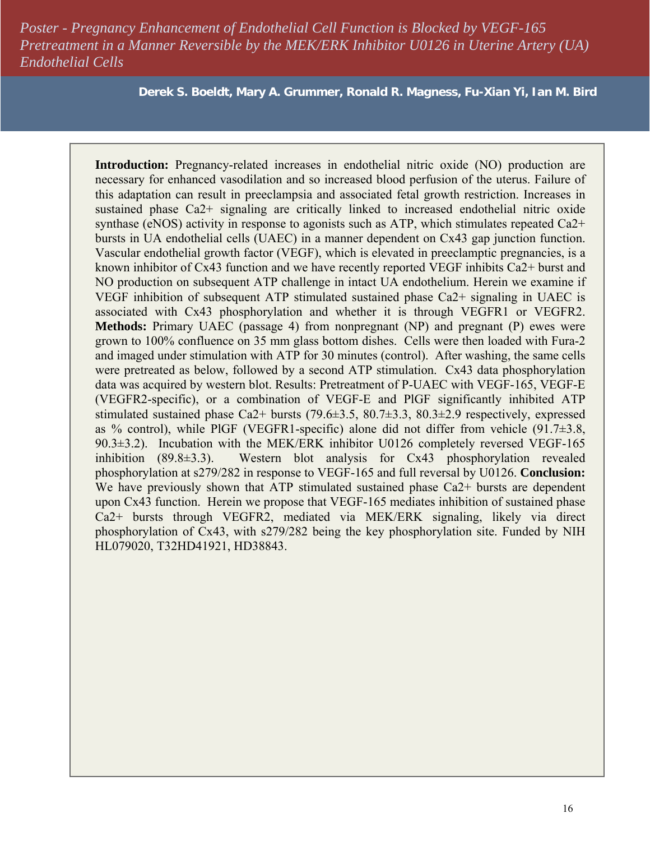*Poster - Pregnancy Enhancement of Endothelial Cell Function is Blocked by VEGF-165 Pretreatment in a Manner Reversible by the MEK/ERK Inhibitor U0126 in Uterine Artery (UA) Endothelial Cells* 

**Derek S. Boeldt, Mary A. Grummer, Ronald R. Magness, Fu-Xian Yi, Ian M. Bird** 

**Introduction:** Pregnancy-related increases in endothelial nitric oxide (NO) production are necessary for enhanced vasodilation and so increased blood perfusion of the uterus. Failure of this adaptation can result in preeclampsia and associated fetal growth restriction. Increases in sustained phase Ca2+ signaling are critically linked to increased endothelial nitric oxide synthase (eNOS) activity in response to agonists such as ATP, which stimulates repeated Ca2+ bursts in UA endothelial cells (UAEC) in a manner dependent on Cx43 gap junction function. Vascular endothelial growth factor (VEGF), which is elevated in preeclamptic pregnancies, is a known inhibitor of Cx43 function and we have recently reported VEGF inhibits Ca2+ burst and NO production on subsequent ATP challenge in intact UA endothelium. Herein we examine if VEGF inhibition of subsequent ATP stimulated sustained phase Ca2+ signaling in UAEC is associated with Cx43 phosphorylation and whether it is through VEGFR1 or VEGFR2. **Methods:** Primary UAEC (passage 4) from nonpregnant (NP) and pregnant (P) ewes were grown to 100% confluence on 35 mm glass bottom dishes. Cells were then loaded with Fura-2 and imaged under stimulation with ATP for 30 minutes (control). After washing, the same cells were pretreated as below, followed by a second ATP stimulation. Cx43 data phosphorylation data was acquired by western blot. Results: Pretreatment of P-UAEC with VEGF-165, VEGF-E (VEGFR2-specific), or a combination of VEGF-E and PlGF significantly inhibited ATP stimulated sustained phase Ca2+ bursts (79.6±3.5, 80.7±3.3, 80.3±2.9 respectively, expressed as % control), while PIGF (VEGFR1-specific) alone did not differ from vehicle  $(91.7\pm3.8,$ 90.3±3.2). Incubation with the MEK/ERK inhibitor U0126 completely reversed VEGF-165 inhibition  $(89.8\pm3.3)$ . Western blot analysis for Cx43 phosphorylation revealed phosphorylation at s279/282 in response to VEGF-165 and full reversal by U0126. **Conclusion:** We have previously shown that ATP stimulated sustained phase Ca<sub>2</sub>+ bursts are dependent upon Cx43 function. Herein we propose that VEGF-165 mediates inhibition of sustained phase Ca2+ bursts through VEGFR2, mediated via MEK/ERK signaling, likely via direct phosphorylation of Cx43, with s279/282 being the key phosphorylation site. Funded by NIH HL079020, T32HD41921, HD38843.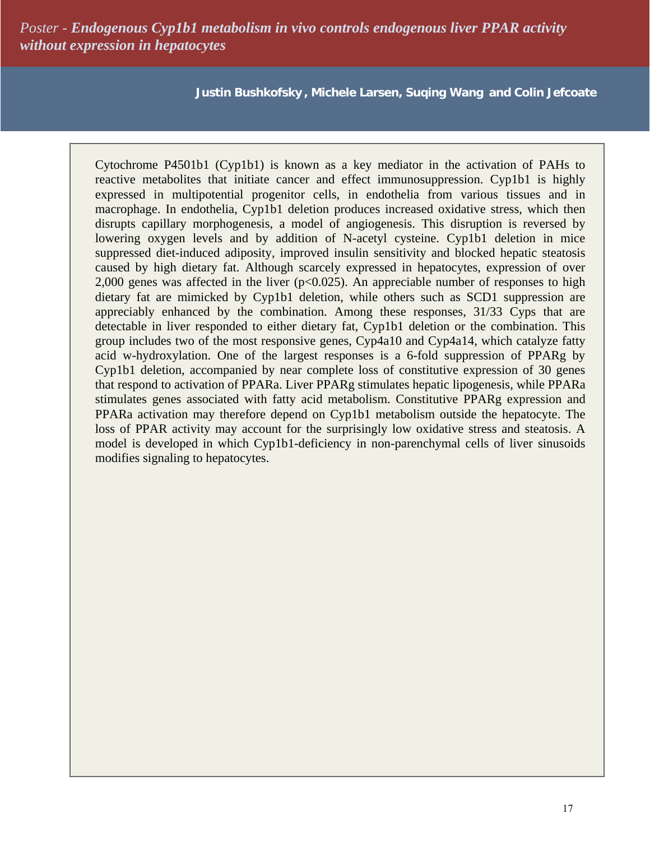## *Poster - Endogenous Cyp1b1 metabolism in vivo controls endogenous liver PPAR activity without expression in hepatocytes*

**Justin Bushkofsky , Michele Larsen, Suqing Wang and Colin Jefcoate** 

Cytochrome P4501b1 (Cyp1b1) is known as a key mediator in the activation of PAHs to reactive metabolites that initiate cancer and effect immunosuppression. Cyp1b1 is highly expressed in multipotential progenitor cells, in endothelia from various tissues and in macrophage. In endothelia, Cyp1b1 deletion produces increased oxidative stress, which then disrupts capillary morphogenesis, a model of angiogenesis. This disruption is reversed by lowering oxygen levels and by addition of N-acetyl cysteine. Cyp1b1 deletion in mice suppressed diet-induced adiposity, improved insulin sensitivity and blocked hepatic steatosis caused by high dietary fat. Although scarcely expressed in hepatocytes, expression of over 2,000 genes was affected in the liver ( $p<0.025$ ). An appreciable number of responses to high dietary fat are mimicked by Cyp1b1 deletion, while others such as SCD1 suppression are appreciably enhanced by the combination. Among these responses, 31/33 Cyps that are detectable in liver responded to either dietary fat, Cyp1b1 deletion or the combination. This group includes two of the most responsive genes, Cyp4a10 and Cyp4a14, which catalyze fatty acid w-hydroxylation. One of the largest responses is a 6-fold suppression of PPARg by Cyp1b1 deletion, accompanied by near complete loss of constitutive expression of 30 genes that respond to activation of PPARa. Liver PPARg stimulates hepatic lipogenesis, while PPARa stimulates genes associated with fatty acid metabolism. Constitutive PPARg expression and PPARa activation may therefore depend on Cyp1b1 metabolism outside the hepatocyte. The loss of PPAR activity may account for the surprisingly low oxidative stress and steatosis. A model is developed in which Cyp1b1-deficiency in non-parenchymal cells of liver sinusoids modifies signaling to hepatocytes.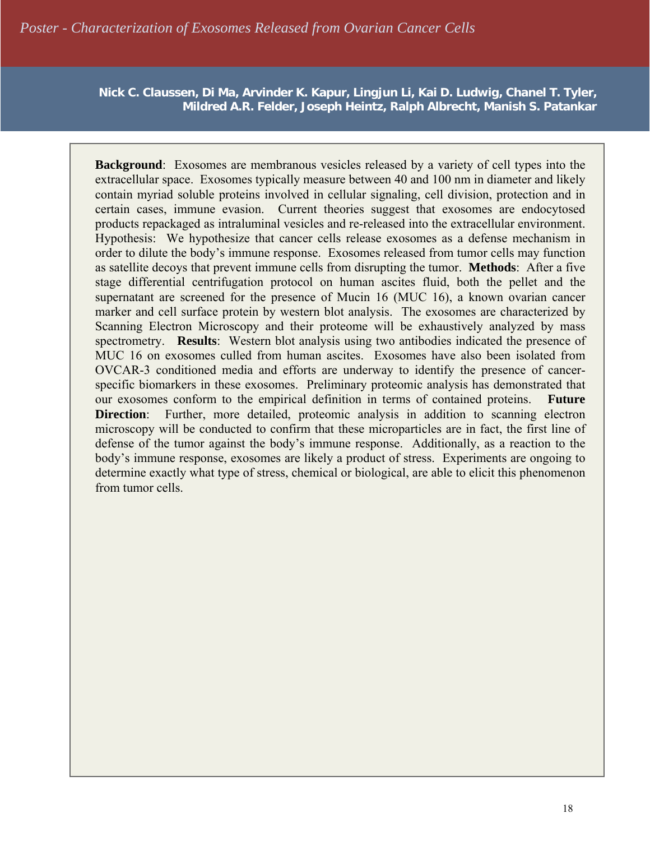**Nick C. Claussen, Di Ma, Arvinder K. Kapur, Lingjun Li, Kai D. Ludwig, Chanel T. Tyler, Mildred A.R. Felder, Joseph Heintz, Ralph Albrecht, Manish S. Patankar** 

**Background**: Exosomes are membranous vesicles released by a variety of cell types into the extracellular space. Exosomes typically measure between 40 and 100 nm in diameter and likely contain myriad soluble proteins involved in cellular signaling, cell division, protection and in certain cases, immune evasion. Current theories suggest that exosomes are endocytosed products repackaged as intraluminal vesicles and re-released into the extracellular environment. Hypothesis: We hypothesize that cancer cells release exosomes as a defense mechanism in order to dilute the body's immune response. Exosomes released from tumor cells may function as satellite decoys that prevent immune cells from disrupting the tumor. **Methods**: After a five stage differential centrifugation protocol on human ascites fluid, both the pellet and the supernatant are screened for the presence of Mucin 16 (MUC 16), a known ovarian cancer marker and cell surface protein by western blot analysis. The exosomes are characterized by Scanning Electron Microscopy and their proteome will be exhaustively analyzed by mass spectrometry. **Results**: Western blot analysis using two antibodies indicated the presence of MUC 16 on exosomes culled from human ascites. Exosomes have also been isolated from OVCAR-3 conditioned media and efforts are underway to identify the presence of cancerspecific biomarkers in these exosomes. Preliminary proteomic analysis has demonstrated that our exosomes conform to the empirical definition in terms of contained proteins. **Future Direction**: Further, more detailed, proteomic analysis in addition to scanning electron microscopy will be conducted to confirm that these microparticles are in fact, the first line of defense of the tumor against the body's immune response. Additionally, as a reaction to the body's immune response, exosomes are likely a product of stress. Experiments are ongoing to determine exactly what type of stress, chemical or biological, are able to elicit this phenomenon from tumor cells.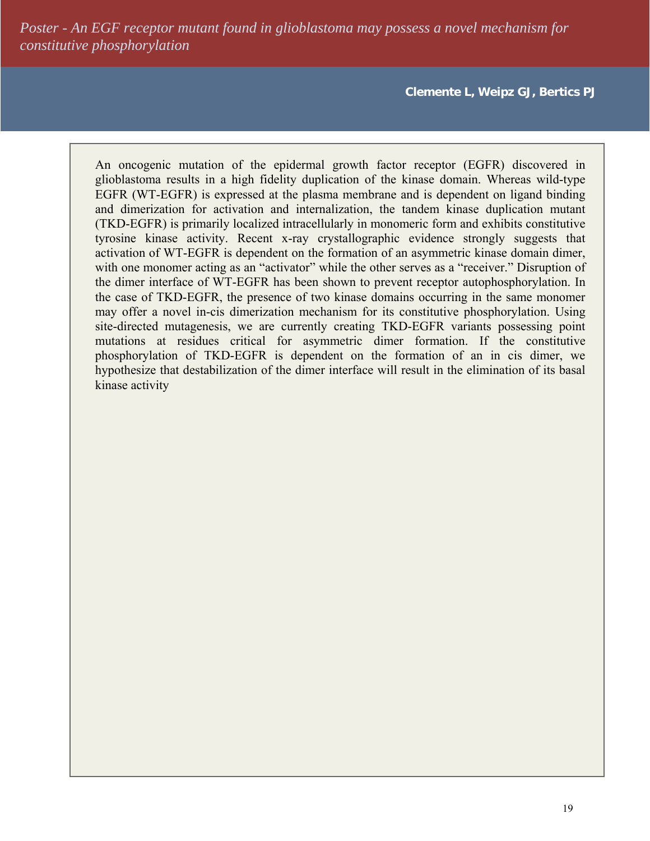*Poster - An EGF receptor mutant found in glioblastoma may possess a novel mechanism for constitutive phosphorylation* 

**Clemente L, Weipz GJ, Bertics PJ** 

An oncogenic mutation of the epidermal growth factor receptor (EGFR) discovered in glioblastoma results in a high fidelity duplication of the kinase domain. Whereas wild-type EGFR (WT-EGFR) is expressed at the plasma membrane and is dependent on ligand binding and dimerization for activation and internalization, the tandem kinase duplication mutant (TKD-EGFR) is primarily localized intracellularly in monomeric form and exhibits constitutive tyrosine kinase activity. Recent x-ray crystallographic evidence strongly suggests that activation of WT-EGFR is dependent on the formation of an asymmetric kinase domain dimer, with one monomer acting as an "activator" while the other serves as a "receiver." Disruption of the dimer interface of WT-EGFR has been shown to prevent receptor autophosphorylation. In the case of TKD-EGFR, the presence of two kinase domains occurring in the same monomer may offer a novel in-cis dimerization mechanism for its constitutive phosphorylation. Using site-directed mutagenesis, we are currently creating TKD-EGFR variants possessing point mutations at residues critical for asymmetric dimer formation. If the constitutive phosphorylation of TKD-EGFR is dependent on the formation of an in cis dimer, we hypothesize that destabilization of the dimer interface will result in the elimination of its basal kinase activity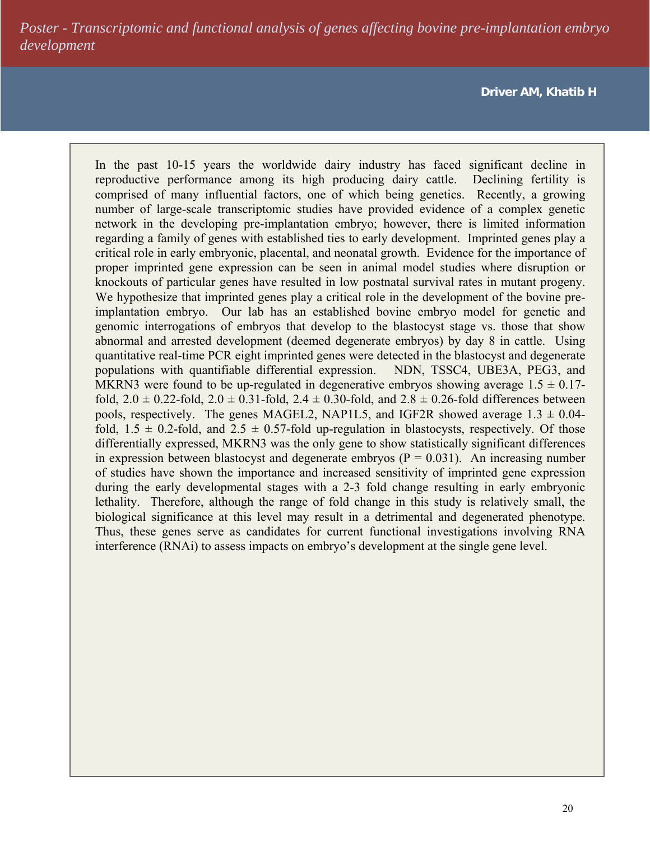*Poster - Transcriptomic and functional analysis of genes affecting bovine pre-implantation embryo development* 

#### **Driver AM, Khatib H**

In the past 10-15 years the worldwide dairy industry has faced significant decline in reproductive performance among its high producing dairy cattle. Declining fertility is comprised of many influential factors, one of which being genetics. Recently, a growing number of large-scale transcriptomic studies have provided evidence of a complex genetic network in the developing pre-implantation embryo; however, there is limited information regarding a family of genes with established ties to early development. Imprinted genes play a critical role in early embryonic, placental, and neonatal growth. Evidence for the importance of proper imprinted gene expression can be seen in animal model studies where disruption or knockouts of particular genes have resulted in low postnatal survival rates in mutant progeny. We hypothesize that imprinted genes play a critical role in the development of the bovine preimplantation embryo. Our lab has an established bovine embryo model for genetic and genomic interrogations of embryos that develop to the blastocyst stage vs. those that show abnormal and arrested development (deemed degenerate embryos) by day 8 in cattle. Using quantitative real-time PCR eight imprinted genes were detected in the blastocyst and degenerate populations with quantifiable differential expression. NDN, TSSC4, UBE3A, PEG3, and MKRN3 were found to be up-regulated in degenerative embryos showing average  $1.5 \pm 0.17$ fold,  $2.0 \pm 0.22$ -fold,  $2.0 \pm 0.31$ -fold,  $2.4 \pm 0.30$ -fold, and  $2.8 \pm 0.26$ -fold differences between pools, respectively. The genes MAGEL2, NAP1L5, and IGF2R showed average  $1.3 \pm 0.04$ fold,  $1.5 \pm 0.2$ -fold, and  $2.5 \pm 0.57$ -fold up-regulation in blastocysts, respectively. Of those differentially expressed, MKRN3 was the only gene to show statistically significant differences in expression between blastocyst and degenerate embryos ( $P = 0.031$ ). An increasing number of studies have shown the importance and increased sensitivity of imprinted gene expression during the early developmental stages with a 2-3 fold change resulting in early embryonic lethality. Therefore, although the range of fold change in this study is relatively small, the biological significance at this level may result in a detrimental and degenerated phenotype. Thus, these genes serve as candidates for current functional investigations involving RNA interference (RNAi) to assess impacts on embryo's development at the single gene level.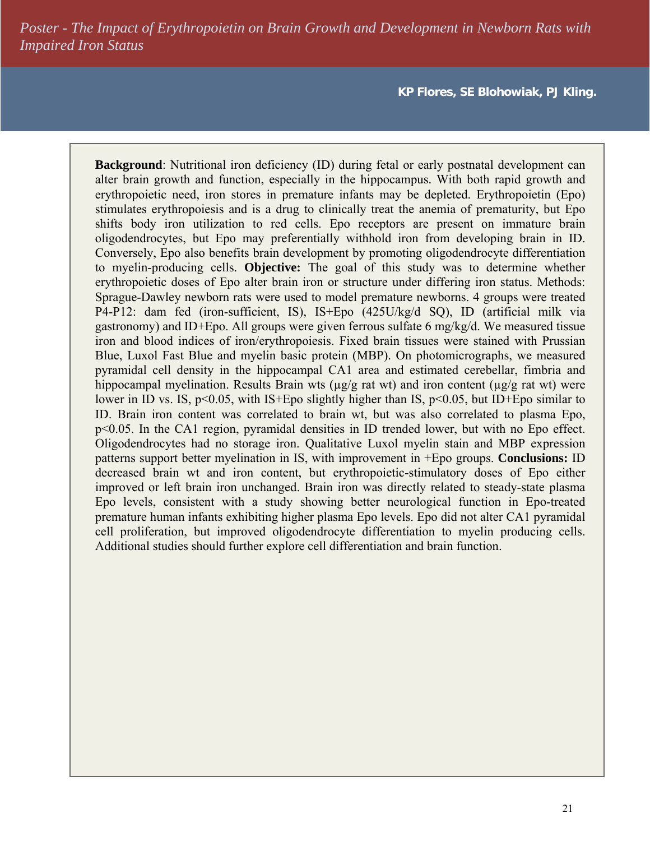*Poster - The Impact of Erythropoietin on Brain Growth and Development in Newborn Rats with Impaired Iron Status* 

**KP Flores, SE Blohowiak, PJ Kling.** 

**Background**: Nutritional iron deficiency (ID) during fetal or early postnatal development can alter brain growth and function, especially in the hippocampus. With both rapid growth and erythropoietic need, iron stores in premature infants may be depleted. Erythropoietin (Epo) stimulates erythropoiesis and is a drug to clinically treat the anemia of prematurity, but Epo shifts body iron utilization to red cells. Epo receptors are present on immature brain oligodendrocytes, but Epo may preferentially withhold iron from developing brain in ID. Conversely, Epo also benefits brain development by promoting oligodendrocyte differentiation to myelin-producing cells. **Objective:** The goal of this study was to determine whether erythropoietic doses of Epo alter brain iron or structure under differing iron status. Methods: Sprague-Dawley newborn rats were used to model premature newborns. 4 groups were treated P4-P12: dam fed (iron-sufficient, IS), IS+Epo (425U/kg/d SQ), ID (artificial milk via gastronomy) and ID+Epo. All groups were given ferrous sulfate 6 mg/kg/d. We measured tissue iron and blood indices of iron/erythropoiesis. Fixed brain tissues were stained with Prussian Blue, Luxol Fast Blue and myelin basic protein (MBP). On photomicrographs, we measured pyramidal cell density in the hippocampal CA1 area and estimated cerebellar, fimbria and hippocampal myelination. Results Brain wts ( $\mu$ g/g rat wt) and iron content ( $\mu$ g/g rat wt) were lower in ID vs. IS, p<0.05, with IS+Epo slightly higher than IS, p<0.05, but ID+Epo similar to ID. Brain iron content was correlated to brain wt, but was also correlated to plasma Epo, p<0.05. In the CA1 region, pyramidal densities in ID trended lower, but with no Epo effect. Oligodendrocytes had no storage iron. Qualitative Luxol myelin stain and MBP expression patterns support better myelination in IS, with improvement in +Epo groups. **Conclusions:** ID decreased brain wt and iron content, but erythropoietic-stimulatory doses of Epo either improved or left brain iron unchanged. Brain iron was directly related to steady-state plasma Epo levels, consistent with a study showing better neurological function in Epo-treated premature human infants exhibiting higher plasma Epo levels. Epo did not alter CA1 pyramidal cell proliferation, but improved oligodendrocyte differentiation to myelin producing cells. Additional studies should further explore cell differentiation and brain function.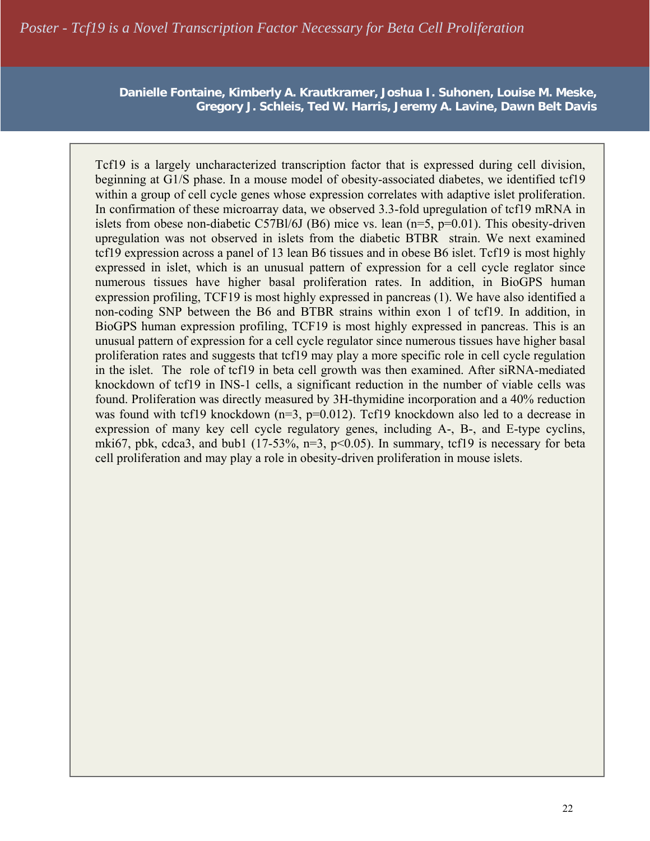**Danielle Fontaine, Kimberly A. Krautkramer, Joshua I. Suhonen, Louise M. Meske, Gregory J. Schleis, Ted W. Harris, Jeremy A. Lavine, Dawn Belt Davis** 

Tcf19 is a largely uncharacterized transcription factor that is expressed during cell division, beginning at G1/S phase. In a mouse model of obesity-associated diabetes, we identified tcf19 within a group of cell cycle genes whose expression correlates with adaptive islet proliferation. In confirmation of these microarray data, we observed 3.3-fold upregulation of tcf19 mRNA in islets from obese non-diabetic C57Bl/6J (B6) mice vs. lean (n=5, p=0.01). This obesity-driven upregulation was not observed in islets from the diabetic BTBR strain. We next examined tcf19 expression across a panel of 13 lean B6 tissues and in obese B6 islet. Tcf19 is most highly expressed in islet, which is an unusual pattern of expression for a cell cycle reglator since numerous tissues have higher basal proliferation rates. In addition, in BioGPS human expression profiling, TCF19 is most highly expressed in pancreas (1). We have also identified a non-coding SNP between the B6 and BTBR strains within exon 1 of tcf19. In addition, in BioGPS human expression profiling, TCF19 is most highly expressed in pancreas. This is an unusual pattern of expression for a cell cycle regulator since numerous tissues have higher basal proliferation rates and suggests that tcf19 may play a more specific role in cell cycle regulation in the islet. The role of tcf19 in beta cell growth was then examined. After siRNA-mediated knockdown of tcf19 in INS-1 cells, a significant reduction in the number of viable cells was found. Proliferation was directly measured by 3H-thymidine incorporation and a 40% reduction was found with tcf19 knockdown (n=3, p=0.012). Tcf19 knockdown also led to a decrease in expression of many key cell cycle regulatory genes, including A-, B-, and E-type cyclins, mki67, pbk, cdca3, and bub1 (17-53%,  $n=3$ ,  $p<0.05$ ). In summary, tcf19 is necessary for beta cell proliferation and may play a role in obesity-driven proliferation in mouse islets.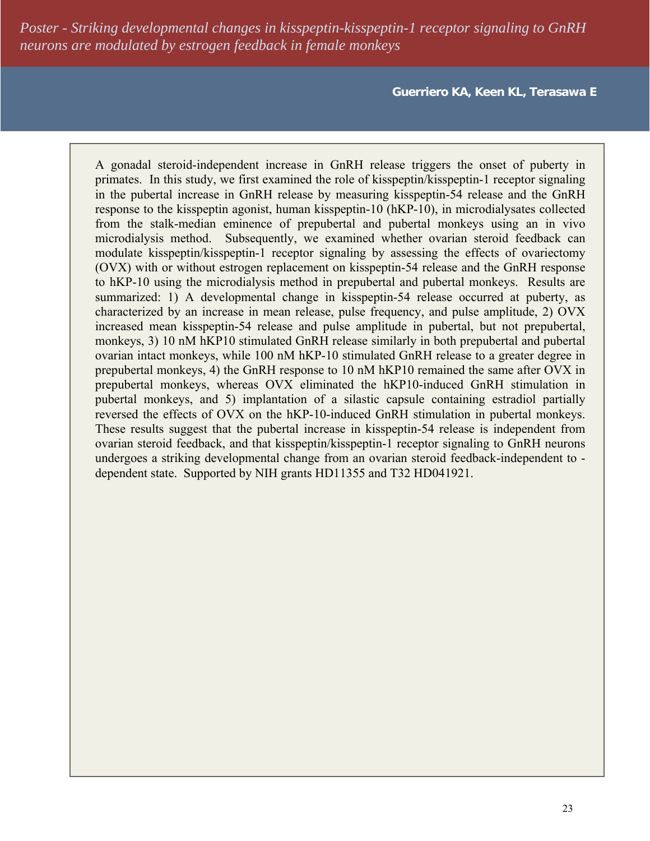*Poster - Striking developmental changes in kisspeptin-kisspeptin-1 receptor signaling to GnRH neurons are modulated by estrogen feedback in female monkeys* 

**Guerriero KA, Keen KL, Terasawa E** 

A gonadal steroid-independent increase in GnRH release triggers the onset of puberty in primates. In this study, we first examined the role of kisspeptin/kisspeptin-1 receptor signaling in the pubertal increase in GnRH release by measuring kisspeptin-54 release and the GnRH response to the kisspeptin agonist, human kisspeptin-10 (hKP-10), in microdialysates collected from the stalk-median eminence of prepubertal and pubertal monkeys using an in vivo microdialysis method. Subsequently, we examined whether ovarian steroid feedback can modulate kisspeptin/kisspeptin-1 receptor signaling by assessing the effects of ovariectomy (OVX) with or without estrogen replacement on kisspeptin-54 release and the GnRH response to hKP-10 using the microdialysis method in prepubertal and pubertal monkeys. Results are summarized: 1) A developmental change in kisspeptin-54 release occurred at puberty, as characterized by an increase in mean release, pulse frequency, and pulse amplitude, 2) OVX increased mean kisspeptin-54 release and pulse amplitude in pubertal, but not prepubertal, monkeys, 3) 10 nM hKP10 stimulated GnRH release similarly in both prepubertal and pubertal ovarian intact monkeys, while 100 nM hKP-10 stimulated GnRH release to a greater degree in prepubertal monkeys, 4) the GnRH response to 10 nM hKP10 remained the same after OVX in prepubertal monkeys, whereas OVX eliminated the hKP10-induced GnRH stimulation in pubertal monkeys, and 5) implantation of a silastic capsule containing estradiol partially reversed the effects of OVX on the hKP-10-induced GnRH stimulation in pubertal monkeys. These results suggest that the pubertal increase in kisspeptin-54 release is independent from ovarian steroid feedback, and that kisspeptin/kisspeptin-1 receptor signaling to GnRH neurons undergoes a striking developmental change from an ovarian steroid feedback-independent to dependent state. Supported by NIH grants HD11355 and T32 HD041921.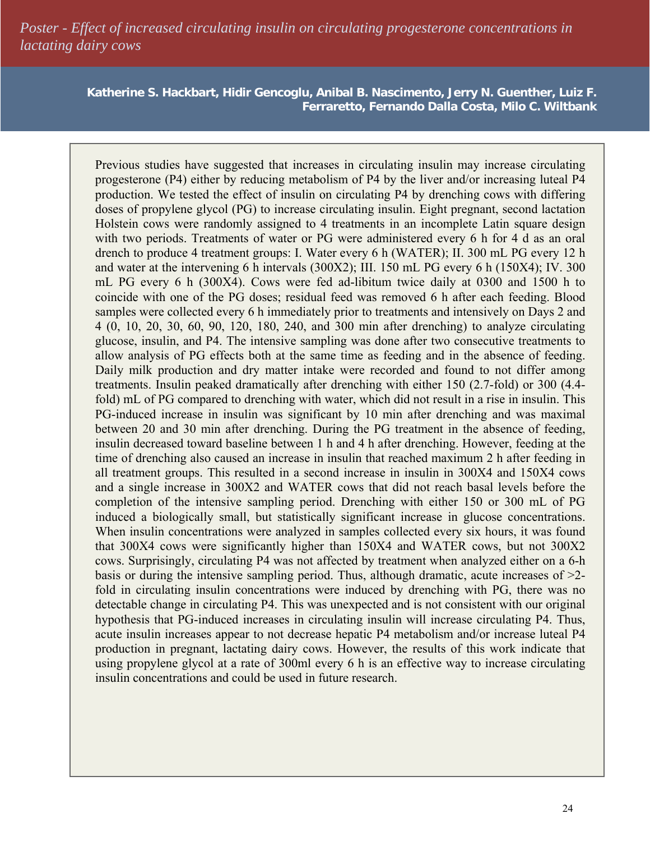## *Poster - Effect of increased circulating insulin on circulating progesterone concentrations in lactating dairy cows*

**Katherine S. Hackbart, Hidir Gencoglu, Anibal B. Nascimento, Jerry N. Guenther, Luiz F. Ferraretto, Fernando Dalla Costa, Milo C. Wiltbank** 

Previous studies have suggested that increases in circulating insulin may increase circulating progesterone (P4) either by reducing metabolism of P4 by the liver and/or increasing luteal P4 production. We tested the effect of insulin on circulating P4 by drenching cows with differing doses of propylene glycol (PG) to increase circulating insulin. Eight pregnant, second lactation Holstein cows were randomly assigned to 4 treatments in an incomplete Latin square design with two periods. Treatments of water or PG were administered every 6 h for 4 d as an oral drench to produce 4 treatment groups: I. Water every 6 h (WATER); II. 300 mL PG every 12 h and water at the intervening 6 h intervals (300X2); III. 150 mL PG every 6 h (150X4); IV. 300 mL PG every 6 h (300X4). Cows were fed ad-libitum twice daily at 0300 and 1500 h to coincide with one of the PG doses; residual feed was removed 6 h after each feeding. Blood samples were collected every 6 h immediately prior to treatments and intensively on Days 2 and 4 (0, 10, 20, 30, 60, 90, 120, 180, 240, and 300 min after drenching) to analyze circulating glucose, insulin, and P4. The intensive sampling was done after two consecutive treatments to allow analysis of PG effects both at the same time as feeding and in the absence of feeding. Daily milk production and dry matter intake were recorded and found to not differ among treatments. Insulin peaked dramatically after drenching with either 150 (2.7-fold) or 300 (4.4 fold) mL of PG compared to drenching with water, which did not result in a rise in insulin. This PG-induced increase in insulin was significant by 10 min after drenching and was maximal between 20 and 30 min after drenching. During the PG treatment in the absence of feeding, insulin decreased toward baseline between 1 h and 4 h after drenching. However, feeding at the time of drenching also caused an increase in insulin that reached maximum 2 h after feeding in all treatment groups. This resulted in a second increase in insulin in 300X4 and 150X4 cows and a single increase in 300X2 and WATER cows that did not reach basal levels before the completion of the intensive sampling period. Drenching with either 150 or 300 mL of PG induced a biologically small, but statistically significant increase in glucose concentrations. When insulin concentrations were analyzed in samples collected every six hours, it was found that 300X4 cows were significantly higher than 150X4 and WATER cows, but not 300X2 cows. Surprisingly, circulating P4 was not affected by treatment when analyzed either on a 6-h basis or during the intensive sampling period. Thus, although dramatic, acute increases of  $>2$ fold in circulating insulin concentrations were induced by drenching with PG, there was no detectable change in circulating P4. This was unexpected and is not consistent with our original hypothesis that PG-induced increases in circulating insulin will increase circulating P4. Thus, acute insulin increases appear to not decrease hepatic P4 metabolism and/or increase luteal P4 production in pregnant, lactating dairy cows. However, the results of this work indicate that using propylene glycol at a rate of 300ml every 6 h is an effective way to increase circulating insulin concentrations and could be used in future research.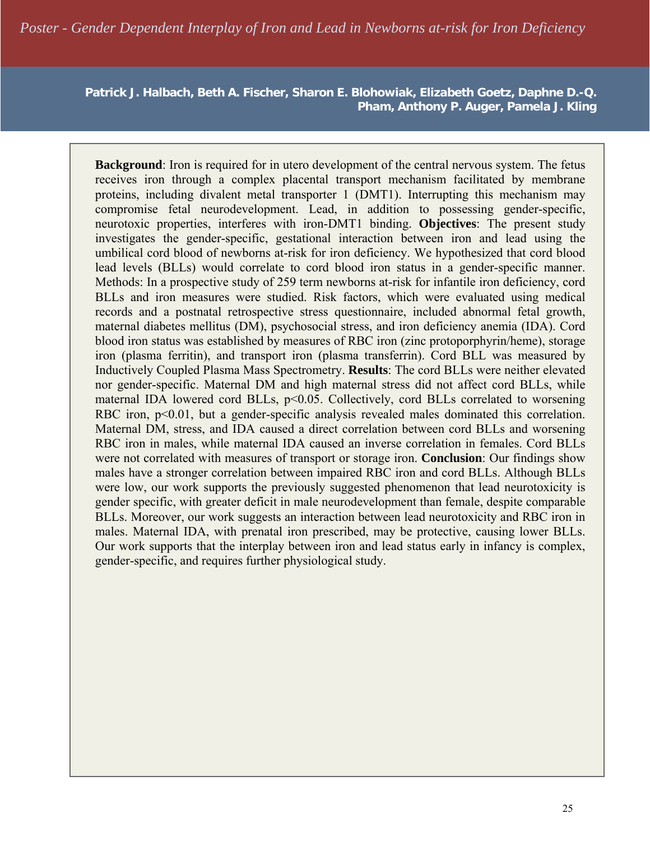*Poster - Gender Dependent Interplay of Iron and Lead in Newborns at-risk for Iron Deficiency* 

**Patrick J. Halbach, Beth A. Fischer, Sharon E. Blohowiak, Elizabeth Goetz, Daphne D.-Q. Pham, Anthony P. Auger, Pamela J. Kling** 

**Background**: Iron is required for in utero development of the central nervous system. The fetus receives iron through a complex placental transport mechanism facilitated by membrane proteins, including divalent metal transporter 1 (DMT1). Interrupting this mechanism may compromise fetal neurodevelopment. Lead, in addition to possessing gender-specific, neurotoxic properties, interferes with iron-DMT1 binding. **Objectives**: The present study investigates the gender-specific, gestational interaction between iron and lead using the umbilical cord blood of newborns at-risk for iron deficiency. We hypothesized that cord blood lead levels (BLLs) would correlate to cord blood iron status in a gender-specific manner. Methods: In a prospective study of 259 term newborns at-risk for infantile iron deficiency, cord BLLs and iron measures were studied. Risk factors, which were evaluated using medical records and a postnatal retrospective stress questionnaire, included abnormal fetal growth, maternal diabetes mellitus (DM), psychosocial stress, and iron deficiency anemia (IDA). Cord blood iron status was established by measures of RBC iron (zinc protoporphyrin/heme), storage iron (plasma ferritin), and transport iron (plasma transferrin). Cord BLL was measured by Inductively Coupled Plasma Mass Spectrometry. **Results**: The cord BLLs were neither elevated nor gender-specific. Maternal DM and high maternal stress did not affect cord BLLs, while maternal IDA lowered cord BLLs, p<0.05. Collectively, cord BLLs correlated to worsening RBC iron, p<0.01, but a gender-specific analysis revealed males dominated this correlation. Maternal DM, stress, and IDA caused a direct correlation between cord BLLs and worsening RBC iron in males, while maternal IDA caused an inverse correlation in females. Cord BLLs were not correlated with measures of transport or storage iron. **Conclusion**: Our findings show males have a stronger correlation between impaired RBC iron and cord BLLs. Although BLLs were low, our work supports the previously suggested phenomenon that lead neurotoxicity is gender specific, with greater deficit in male neurodevelopment than female, despite comparable BLLs. Moreover, our work suggests an interaction between lead neurotoxicity and RBC iron in males. Maternal IDA, with prenatal iron prescribed, may be protective, causing lower BLLs. Our work supports that the interplay between iron and lead status early in infancy is complex, gender-specific, and requires further physiological study.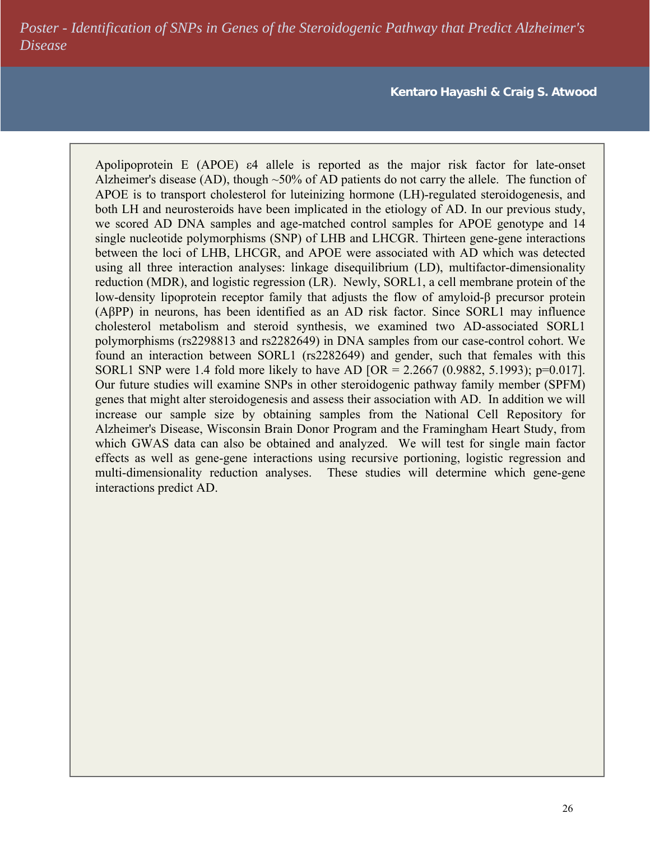*Poster - Identification of SNPs in Genes of the Steroidogenic Pathway that Predict Alzheimer's Disease* 

**Kentaro Hayashi & Craig S. Atwood** 

Apolipoprotein E (APOE) ε4 allele is reported as the major risk factor for late-onset Alzheimer's disease (AD), though  $\sim$ 50% of AD patients do not carry the allele. The function of APOE is to transport cholesterol for luteinizing hormone (LH)-regulated steroidogenesis, and both LH and neurosteroids have been implicated in the etiology of AD. In our previous study, we scored AD DNA samples and age-matched control samples for APOE genotype and 14 single nucleotide polymorphisms (SNP) of LHB and LHCGR. Thirteen gene-gene interactions between the loci of LHB, LHCGR, and APOE were associated with AD which was detected using all three interaction analyses: linkage disequilibrium (LD), multifactor-dimensionality reduction (MDR), and logistic regression (LR). Newly, SORL1, a cell membrane protein of the low-density lipoprotein receptor family that adjusts the flow of amyloid-β precursor protein (AβPP) in neurons, has been identified as an AD risk factor. Since SORL1 may influence cholesterol metabolism and steroid synthesis, we examined two AD-associated SORL1 polymorphisms (rs2298813 and rs2282649) in DNA samples from our case-control cohort. We found an interaction between SORL1 (rs2282649) and gender, such that females with this SORL1 SNP were 1.4 fold more likely to have AD [OR = 2.2667 (0.9882, 5.1993); p=0.017]. Our future studies will examine SNPs in other steroidogenic pathway family member (SPFM) genes that might alter steroidogenesis and assess their association with AD. In addition we will increase our sample size by obtaining samples from the National Cell Repository for Alzheimer's Disease, Wisconsin Brain Donor Program and the Framingham Heart Study, from which GWAS data can also be obtained and analyzed. We will test for single main factor effects as well as gene-gene interactions using recursive portioning, logistic regression and multi-dimensionality reduction analyses. These studies will determine which gene-gene interactions predict AD.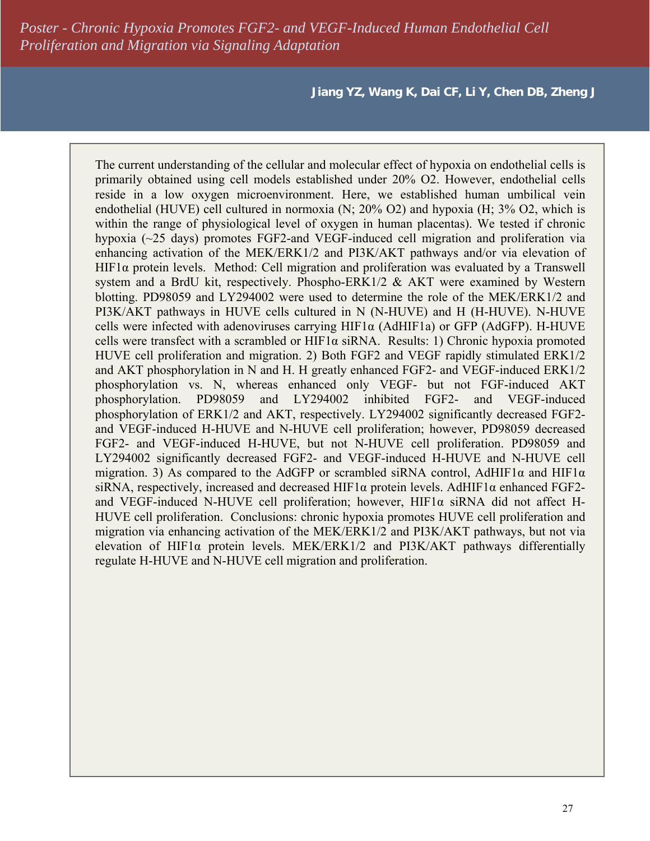*Poster - Chronic Hypoxia Promotes FGF2- and VEGF-Induced Human Endothelial Cell Proliferation and Migration via Signaling Adaptation* 

**Jiang YZ, Wang K, Dai CF, Li Y, Chen DB, Zheng J** 

The current understanding of the cellular and molecular effect of hypoxia on endothelial cells is primarily obtained using cell models established under 20% O2. However, endothelial cells reside in a low oxygen microenvironment. Here, we established human umbilical vein endothelial (HUVE) cell cultured in normoxia (N; 20% O2) and hypoxia (H; 3% O2, which is within the range of physiological level of oxygen in human placentas). We tested if chronic hypoxia (~25 days) promotes FGF2-and VEGF-induced cell migration and proliferation via enhancing activation of the MEK/ERK1/2 and PI3K/AKT pathways and/or via elevation of HIF1 $\alpha$  protein levels. Method: Cell migration and proliferation was evaluated by a Transwell system and a BrdU kit, respectively. Phospho-ERK1/2 & AKT were examined by Western blotting. PD98059 and LY294002 were used to determine the role of the MEK/ERK1/2 and PI3K/AKT pathways in HUVE cells cultured in N (N-HUVE) and H (H-HUVE). N-HUVE cells were infected with adenoviruses carrying  $HIF1\alpha$  (AdHIF1a) or GFP (AdGFP). H-HUVE cells were transfect with a scrambled or HIF1 $\alpha$  siRNA. Results: 1) Chronic hypoxia promoted HUVE cell proliferation and migration. 2) Both FGF2 and VEGF rapidly stimulated ERK1/2 and AKT phosphorylation in N and H. H greatly enhanced FGF2- and VEGF-induced ERK1/2 phosphorylation vs. N, whereas enhanced only VEGF- but not FGF-induced AKT phosphorylation. PD98059 and LY294002 inhibited FGF2- and VEGF-induced phosphorylation of ERK1/2 and AKT, respectively. LY294002 significantly decreased FGF2 and VEGF-induced H-HUVE and N-HUVE cell proliferation; however, PD98059 decreased FGF2- and VEGF-induced H-HUVE, but not N-HUVE cell proliferation. PD98059 and LY294002 significantly decreased FGF2- and VEGF-induced H-HUVE and N-HUVE cell migration. 3) As compared to the AdGFP or scrambled siRNA control, AdHIF1 $\alpha$  and HIF1 $\alpha$ siRNA, respectively, increased and decreased HIF1 $\alpha$  protein levels. AdHIF1 $\alpha$  enhanced FGF2and VEGF-induced N-HUVE cell proliferation; however, HIF1α siRNA did not affect H-HUVE cell proliferation. Conclusions: chronic hypoxia promotes HUVE cell proliferation and migration via enhancing activation of the MEK/ERK1/2 and PI3K/AKT pathways, but not via elevation of HIF1α protein levels. MEK/ERK1/2 and PI3K/AKT pathways differentially regulate H-HUVE and N-HUVE cell migration and proliferation.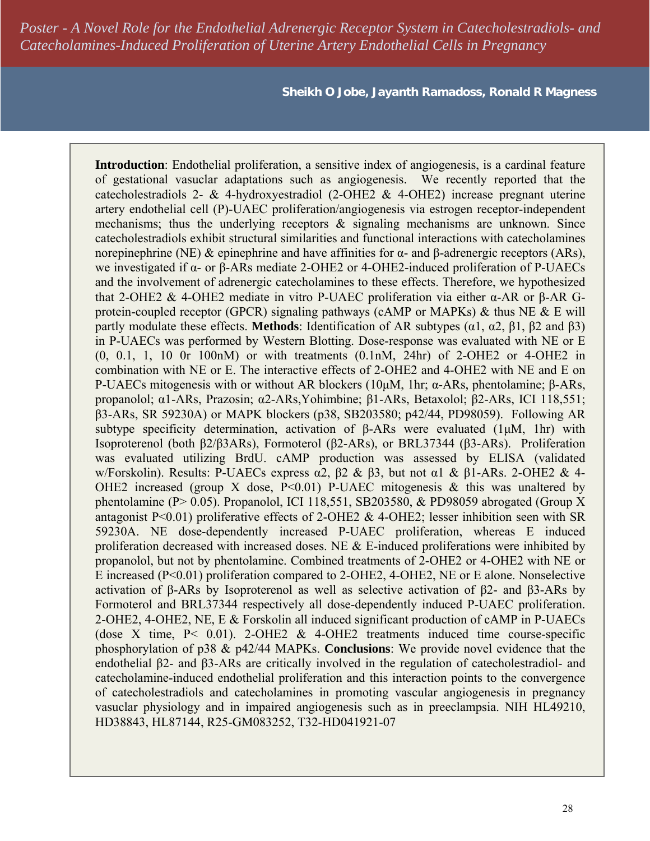*Poster - A Novel Role for the Endothelial Adrenergic Receptor System in Catecholestradiols- and Catecholamines-Induced Proliferation of Uterine Artery Endothelial Cells in Pregnancy* 

**Sheikh O Jobe, Jayanth Ramadoss, Ronald R Magness** 

**Introduction**: Endothelial proliferation, a sensitive index of angiogenesis, is a cardinal feature of gestational vasuclar adaptations such as angiogenesis. We recently reported that the catecholestradiols 2-  $\&$  4-hydroxyestradiol (2-OHE2  $\&$  4-OHE2) increase pregnant uterine artery endothelial cell (P)-UAEC proliferation/angiogenesis via estrogen receptor-independent mechanisms; thus the underlying receptors & signaling mechanisms are unknown. Since catecholestradiols exhibit structural similarities and functional interactions with catecholamines norepinephrine (NE) & epinephrine and have affinities for α- and β-adrenergic receptors (ARs), we investigated if α- or β-ARs mediate 2-OHE2 or 4-OHE2-induced proliferation of P-UAECs and the involvement of adrenergic catecholamines to these effects. Therefore, we hypothesized that 2-OHE2 & 4-OHE2 mediate in vitro P-UAEC proliferation via either α-AR or β-AR Gprotein-coupled receptor (GPCR) signaling pathways (cAMP or MAPKs)  $\&$  thus NE  $\&$  E will partly modulate these effects. **Methods**: Identification of AR subtypes ( $\alpha$ 1,  $\alpha$ 2,  $\beta$ 1,  $\beta$ 2 and  $\beta$ 3) in P-UAECs was performed by Western Blotting. Dose-response was evaluated with NE or E (0, 0.1, 1, 10 0r 100nM) or with treatments (0.1nM, 24hr) of 2-OHE2 or 4-OHE2 in combination with NE or E. The interactive effects of 2-OHE2 and 4-OHE2 with NE and E on P-UAECs mitogenesis with or without AR blockers (10μM, 1hr; α-ARs, phentolamine; β-ARs, propanolol; α1-ARs, Prazosin; α2-ARs,Yohimbine; β1-ARs, Betaxolol; β2-ARs, ICI 118,551; β3-ARs, SR 59230A) or MAPK blockers (p38, SB203580; p42/44, PD98059). Following AR subtype specificity determination, activation of  $\beta$ -ARs were evaluated (1 $\mu$ M, 1hr) with Isoproterenol (both β2/β3ARs), Formoterol (β2-ARs), or BRL37344 (β3-ARs). Proliferation was evaluated utilizing BrdU. cAMP production was assessed by ELISA (validated w/Forskolin). Results: P-UAECs express  $\alpha$ 2,  $\beta$ 2 &  $\beta$ 3, but not  $\alpha$ 1 &  $\beta$ 1-ARs. 2-OHE2 & 4-OHE2 increased (group X dose,  $P \le 0.01$ ) P-UAEC mitogenesis & this was unaltered by phentolamine (P> 0.05). Propanolol, ICI 118,551, SB203580, & PD98059 abrogated (Group X antagonist P<0.01) proliferative effects of 2-OHE2  $\&$  4-OHE2; lesser inhibition seen with SR 59230A. NE dose-dependently increased P-UAEC proliferation, whereas E induced proliferation decreased with increased doses. NE  $\&$  E-induced proliferations were inhibited by propanolol, but not by phentolamine. Combined treatments of 2-OHE2 or 4-OHE2 with NE or E increased (P<0.01) proliferation compared to 2-OHE2, 4-OHE2, NE or E alone. Nonselective activation of β-ARs by Isoproterenol as well as selective activation of β2- and β3-ARs by Formoterol and BRL37344 respectively all dose-dependently induced P-UAEC proliferation. 2-OHE2, 4-OHE2, NE, E & Forskolin all induced significant production of cAMP in P-UAECs (dose X time,  $P< 0.01$ ). 2-OHE2 & 4-OHE2 treatments induced time course-specific phosphorylation of p38 & p42/44 MAPKs. **Conclusions**: We provide novel evidence that the endothelial β2- and β3-ARs are critically involved in the regulation of catecholestradiol- and catecholamine-induced endothelial proliferation and this interaction points to the convergence of catecholestradiols and catecholamines in promoting vascular angiogenesis in pregnancy vasuclar physiology and in impaired angiogenesis such as in preeclampsia. NIH HL49210, HD38843, HL87144, R25-GM083252, T32-HD041921-07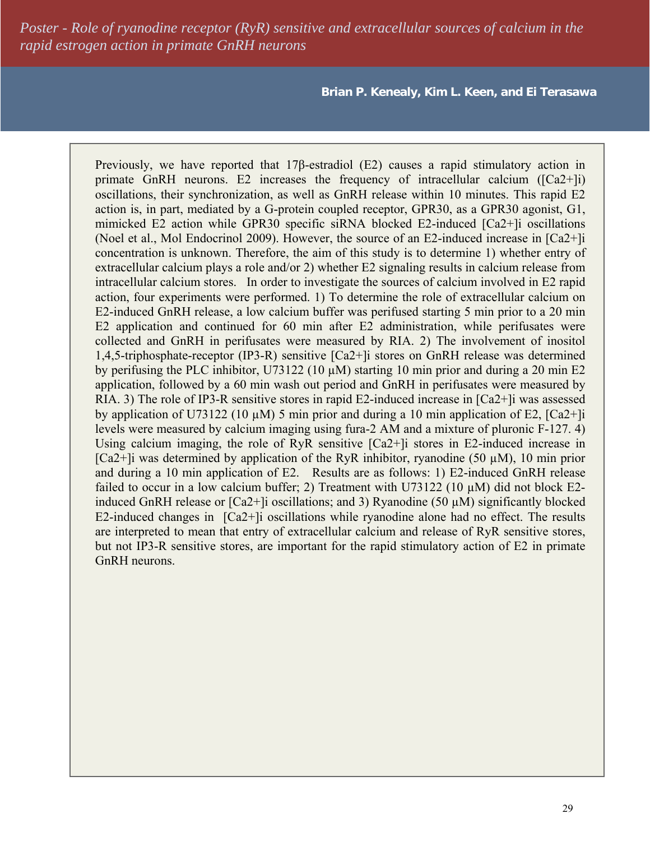*Poster - Role of ryanodine receptor (RyR) sensitive and extracellular sources of calcium in the rapid estrogen action in primate GnRH neurons* 

**Brian P. Kenealy, Kim L. Keen, and Ei Terasawa** 

Previously, we have reported that 17β-estradiol (E2) causes a rapid stimulatory action in primate GnRH neurons. E2 increases the frequency of intracellular calcium ([Ca2+]i) oscillations, their synchronization, as well as GnRH release within 10 minutes. This rapid E2 action is, in part, mediated by a G-protein coupled receptor, GPR30, as a GPR30 agonist, G1, mimicked E2 action while GPR30 specific siRNA blocked E2-induced [Ca2+]i oscillations (Noel et al., Mol Endocrinol 2009). However, the source of an E2-induced increase in [Ca2+]i concentration is unknown. Therefore, the aim of this study is to determine 1) whether entry of extracellular calcium plays a role and/or 2) whether E2 signaling results in calcium release from intracellular calcium stores. In order to investigate the sources of calcium involved in E2 rapid action, four experiments were performed. 1) To determine the role of extracellular calcium on E2-induced GnRH release, a low calcium buffer was perifused starting 5 min prior to a 20 min E2 application and continued for 60 min after E2 administration, while perifusates were collected and GnRH in perifusates were measured by RIA. 2) The involvement of inositol 1,4,5-triphosphate-receptor (IP3-R) sensitive [Ca2+]i stores on GnRH release was determined by perifusing the PLC inhibitor, U73122 (10 µM) starting 10 min prior and during a 20 min E2 application, followed by a 60 min wash out period and GnRH in perifusates were measured by RIA. 3) The role of IP3-R sensitive stores in rapid E2-induced increase in [Ca2+]i was assessed by application of U73122 (10  $\mu$ M) 5 min prior and during a 10 min application of E2, [Ca2+]i levels were measured by calcium imaging using fura-2 AM and a mixture of pluronic F-127. 4) Using calcium imaging, the role of RyR sensitive [Ca2+]i stores in E2-induced increase in  $[Ca2+]$ i was determined by application of the RyR inhibitor, ryanodine (50  $\mu$ M), 10 min prior and during a 10 min application of E2. Results are as follows: 1) E2-induced GnRH release failed to occur in a low calcium buffer; 2) Treatment with U73122 (10  $\mu$ M) did not block E2induced GnRH release or [Ca2+]i oscillations; and 3) Ryanodine (50 µM) significantly blocked E2-induced changes in [Ca2+]i oscillations while ryanodine alone had no effect. The results are interpreted to mean that entry of extracellular calcium and release of RyR sensitive stores, but not IP3-R sensitive stores, are important for the rapid stimulatory action of E2 in primate GnRH neurons.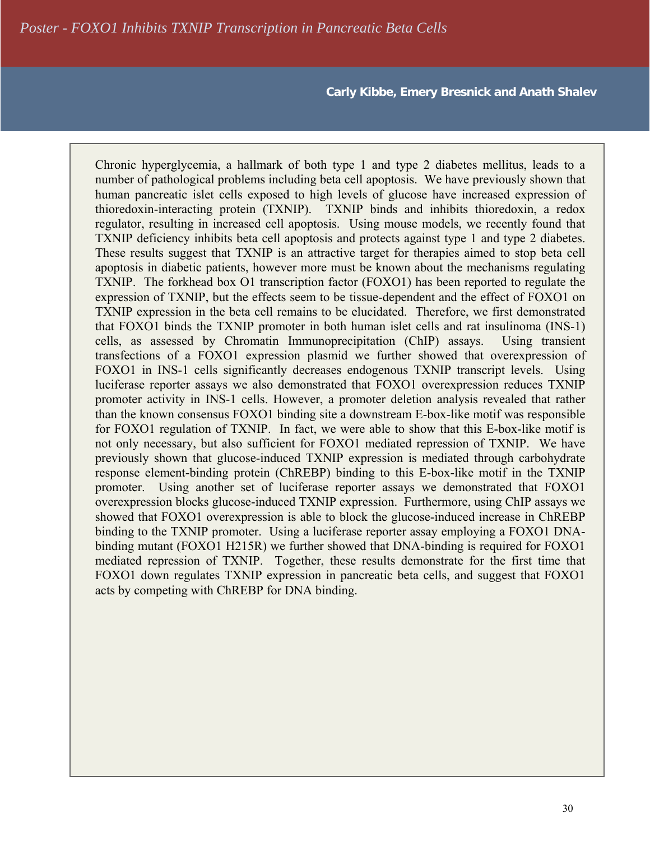**Carly Kibbe, Emery Bresnick and Anath Shalev** 

Chronic hyperglycemia, a hallmark of both type 1 and type 2 diabetes mellitus, leads to a number of pathological problems including beta cell apoptosis. We have previously shown that human pancreatic islet cells exposed to high levels of glucose have increased expression of thioredoxin-interacting protein (TXNIP). TXNIP binds and inhibits thioredoxin, a redox regulator, resulting in increased cell apoptosis. Using mouse models, we recently found that TXNIP deficiency inhibits beta cell apoptosis and protects against type 1 and type 2 diabetes. These results suggest that TXNIP is an attractive target for therapies aimed to stop beta cell apoptosis in diabetic patients, however more must be known about the mechanisms regulating TXNIP. The forkhead box O1 transcription factor (FOXO1) has been reported to regulate the expression of TXNIP, but the effects seem to be tissue-dependent and the effect of FOXO1 on TXNIP expression in the beta cell remains to be elucidated. Therefore, we first demonstrated that FOXO1 binds the TXNIP promoter in both human islet cells and rat insulinoma (INS-1) cells, as assessed by Chromatin Immunoprecipitation (ChIP) assays. Using transient transfections of a FOXO1 expression plasmid we further showed that overexpression of FOXO1 in INS-1 cells significantly decreases endogenous TXNIP transcript levels. Using luciferase reporter assays we also demonstrated that FOXO1 overexpression reduces TXNIP promoter activity in INS-1 cells. However, a promoter deletion analysis revealed that rather than the known consensus FOXO1 binding site a downstream E-box-like motif was responsible for FOXO1 regulation of TXNIP. In fact, we were able to show that this E-box-like motif is not only necessary, but also sufficient for FOXO1 mediated repression of TXNIP. We have previously shown that glucose-induced TXNIP expression is mediated through carbohydrate response element-binding protein (ChREBP) binding to this E-box-like motif in the TXNIP promoter. Using another set of luciferase reporter assays we demonstrated that FOXO1 overexpression blocks glucose-induced TXNIP expression. Furthermore, using ChIP assays we showed that FOXO1 overexpression is able to block the glucose-induced increase in ChREBP binding to the TXNIP promoter. Using a luciferase reporter assay employing a FOXO1 DNAbinding mutant (FOXO1 H215R) we further showed that DNA-binding is required for FOXO1 mediated repression of TXNIP. Together, these results demonstrate for the first time that FOXO1 down regulates TXNIP expression in pancreatic beta cells, and suggest that FOXO1 acts by competing with ChREBP for DNA binding.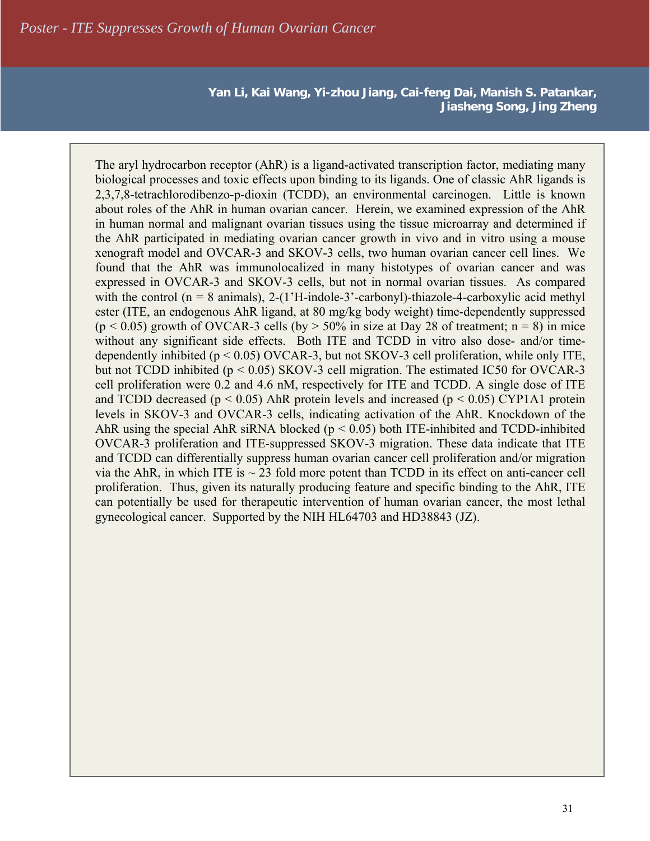**Yan Li, Kai Wang, Yi-zhou Jiang, Cai-feng Dai, Manish S. Patankar, Jiasheng Song, Jing Zheng** 

The aryl hydrocarbon receptor (AhR) is a ligand-activated transcription factor, mediating many biological processes and toxic effects upon binding to its ligands. One of classic AhR ligands is 2,3,7,8-tetrachlorodibenzo-p-dioxin (TCDD), an environmental carcinogen. Little is known about roles of the AhR in human ovarian cancer. Herein, we examined expression of the AhR in human normal and malignant ovarian tissues using the tissue microarray and determined if the AhR participated in mediating ovarian cancer growth in vivo and in vitro using a mouse xenograft model and OVCAR-3 and SKOV-3 cells, two human ovarian cancer cell lines. We found that the AhR was immunolocalized in many histotypes of ovarian cancer and was expressed in OVCAR-3 and SKOV-3 cells, but not in normal ovarian tissues. As compared with the control ( $n = 8$  animals), 2-(1'H-indole-3'-carbonyl)-thiazole-4-carboxylic acid methyl ester (ITE, an endogenous AhR ligand, at 80 mg/kg body weight) time-dependently suppressed  $(p < 0.05)$  growth of OVCAR-3 cells (by  $> 50\%$  in size at Day 28 of treatment; n = 8) in mice without any significant side effects. Both ITE and TCDD in vitro also dose- and/or timedependently inhibited (p < 0.05) OVCAR-3, but not SKOV-3 cell proliferation, while only ITE, but not TCDD inhibited (p < 0.05) SKOV-3 cell migration. The estimated IC50 for OVCAR-3 cell proliferation were 0.2 and 4.6 nM, respectively for ITE and TCDD. A single dose of ITE and TCDD decreased ( $p < 0.05$ ) AhR protein levels and increased ( $p < 0.05$ ) CYP1A1 protein levels in SKOV-3 and OVCAR-3 cells, indicating activation of the AhR. Knockdown of the AhR using the special AhR siRNA blocked ( $p < 0.05$ ) both ITE-inhibited and TCDD-inhibited OVCAR-3 proliferation and ITE-suppressed SKOV-3 migration. These data indicate that ITE and TCDD can differentially suppress human ovarian cancer cell proliferation and/or migration via the AhR, in which ITE is  $\sim$  23 fold more potent than TCDD in its effect on anti-cancer cell proliferation. Thus, given its naturally producing feature and specific binding to the AhR, ITE can potentially be used for therapeutic intervention of human ovarian cancer, the most lethal gynecological cancer. Supported by the NIH HL64703 and HD38843 (JZ).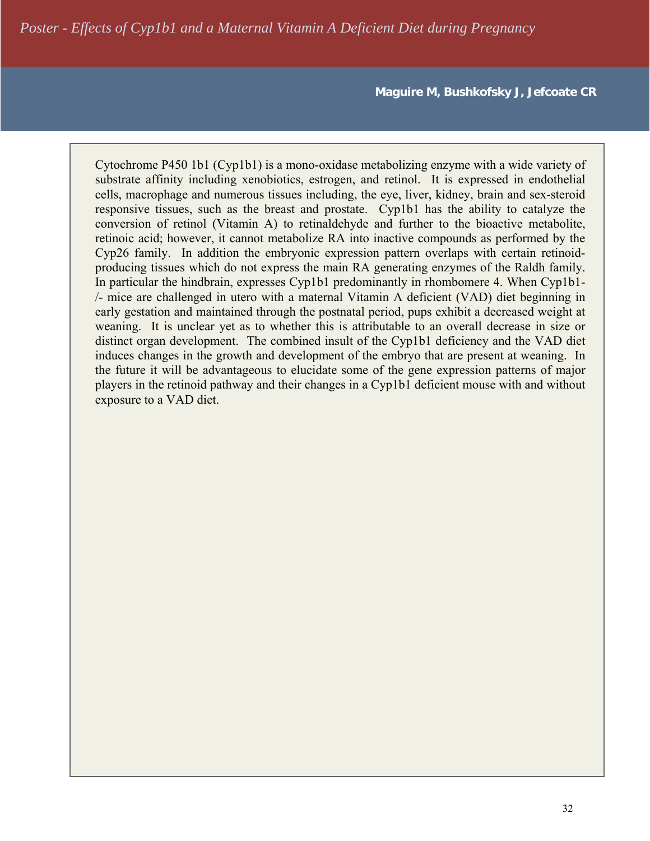**Maguire M, Bushkofsky J, Jefcoate CR** 

Cytochrome P450 1b1 (Cyp1b1) is a mono-oxidase metabolizing enzyme with a wide variety of substrate affinity including xenobiotics, estrogen, and retinol. It is expressed in endothelial cells, macrophage and numerous tissues including, the eye, liver, kidney, brain and sex-steroid responsive tissues, such as the breast and prostate. Cyp1b1 has the ability to catalyze the conversion of retinol (Vitamin A) to retinaldehyde and further to the bioactive metabolite, retinoic acid; however, it cannot metabolize RA into inactive compounds as performed by the Cyp26 family. In addition the embryonic expression pattern overlaps with certain retinoidproducing tissues which do not express the main RA generating enzymes of the Raldh family. In particular the hindbrain, expresses Cyp1b1 predominantly in rhombomere 4. When Cyp1b1- /- mice are challenged in utero with a maternal Vitamin A deficient (VAD) diet beginning in early gestation and maintained through the postnatal period, pups exhibit a decreased weight at weaning. It is unclear yet as to whether this is attributable to an overall decrease in size or distinct organ development. The combined insult of the Cyp1b1 deficiency and the VAD diet induces changes in the growth and development of the embryo that are present at weaning. In the future it will be advantageous to elucidate some of the gene expression patterns of major players in the retinoid pathway and their changes in a Cyp1b1 deficient mouse with and without exposure to a VAD diet.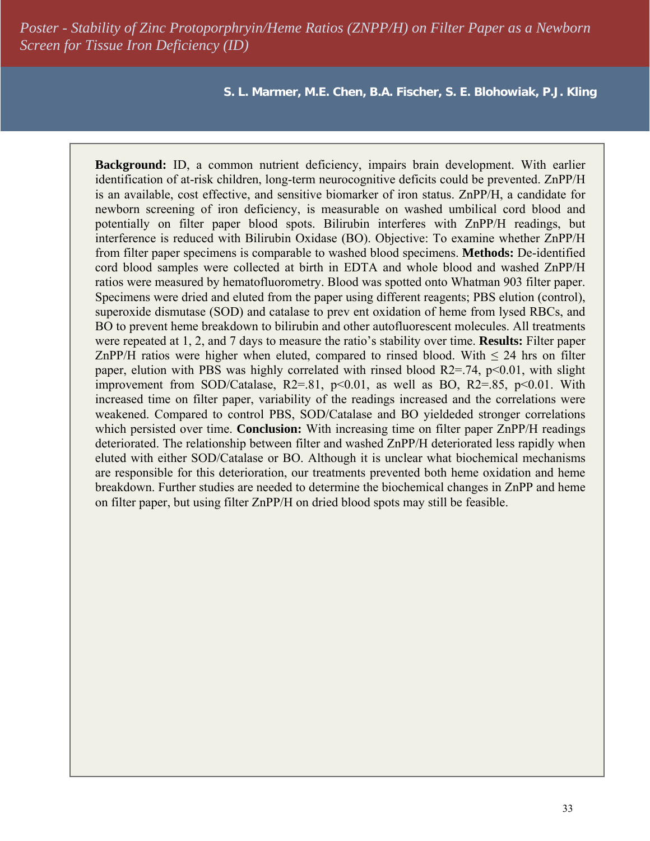*Poster - Stability of Zinc Protoporphryin/Heme Ratios (ZNPP/H) on Filter Paper as a Newborn Screen for Tissue Iron Deficiency (ID)* 

**S. L. Marmer, M.E. Chen, B.A. Fischer, S. E. Blohowiak, P.J. Kling** 

**Background:** ID, a common nutrient deficiency, impairs brain development. With earlier identification of at-risk children, long-term neurocognitive deficits could be prevented. ZnPP/H is an available, cost effective, and sensitive biomarker of iron status. ZnPP/H, a candidate for newborn screening of iron deficiency, is measurable on washed umbilical cord blood and potentially on filter paper blood spots. Bilirubin interferes with ZnPP/H readings, but interference is reduced with Bilirubin Oxidase (BO). Objective: To examine whether ZnPP/H from filter paper specimens is comparable to washed blood specimens. **Methods:** De-identified cord blood samples were collected at birth in EDTA and whole blood and washed ZnPP/H ratios were measured by hematofluorometry. Blood was spotted onto Whatman 903 filter paper. Specimens were dried and eluted from the paper using different reagents; PBS elution (control), superoxide dismutase (SOD) and catalase to prev ent oxidation of heme from lysed RBCs, and BO to prevent heme breakdown to bilirubin and other autofluorescent molecules. All treatments were repeated at 1, 2, and 7 days to measure the ratio's stability over time. **Results:** Filter paper ZnPP/H ratios were higher when eluted, compared to rinsed blood. With  $\leq 24$  hrs on filter paper, elution with PBS was highly correlated with rinsed blood  $R2 = 74$ ,  $p < 0.01$ , with slight improvement from SOD/Catalase, R2=.81,  $p<0.01$ , as well as BO, R2=.85,  $p<0.01$ . With increased time on filter paper, variability of the readings increased and the correlations were weakened. Compared to control PBS, SOD/Catalase and BO yieldeded stronger correlations which persisted over time. **Conclusion:** With increasing time on filter paper ZnPP/H readings deteriorated. The relationship between filter and washed ZnPP/H deteriorated less rapidly when eluted with either SOD/Catalase or BO. Although it is unclear what biochemical mechanisms are responsible for this deterioration, our treatments prevented both heme oxidation and heme breakdown. Further studies are needed to determine the biochemical changes in ZnPP and heme on filter paper, but using filter ZnPP/H on dried blood spots may still be feasible.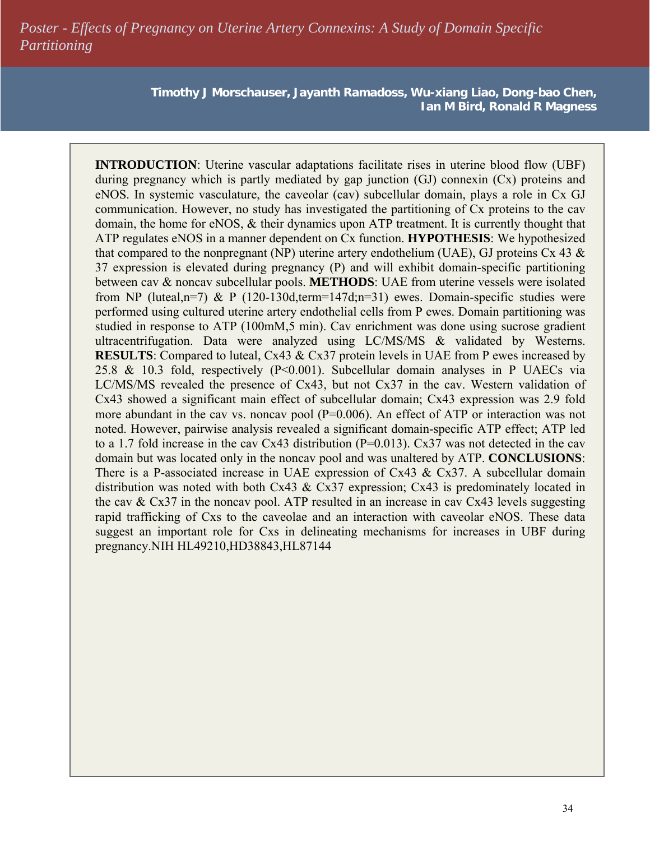*Poster - Effects of Pregnancy on Uterine Artery Connexins: A Study of Domain Specific Partitioning* 

> **Timothy J Morschauser, Jayanth Ramadoss, Wu-xiang Liao, Dong-bao Chen, Ian M Bird, Ronald R Magness**

**INTRODUCTION**: Uterine vascular adaptations facilitate rises in uterine blood flow (UBF) during pregnancy which is partly mediated by gap junction (GJ) connexin (Cx) proteins and eNOS. In systemic vasculature, the caveolar (cav) subcellular domain, plays a role in Cx GJ communication. However, no study has investigated the partitioning of Cx proteins to the cav domain, the home for eNOS, & their dynamics upon ATP treatment. It is currently thought that ATP regulates eNOS in a manner dependent on Cx function. **HYPOTHESIS**: We hypothesized that compared to the nonpregnant (NP) uterine artery endothelium (UAE), GJ proteins Cx 43  $\&$ 37 expression is elevated during pregnancy (P) and will exhibit domain-specific partitioning between cav & noncav subcellular pools. **METHODS**: UAE from uterine vessels were isolated from NP (luteal,  $n=7$ ) & P (120-130d, term = 147d; $n=31$ ) ewes. Domain-specific studies were performed using cultured uterine artery endothelial cells from P ewes. Domain partitioning was studied in response to ATP (100mM,5 min). Cav enrichment was done using sucrose gradient ultracentrifugation. Data were analyzed using LC/MS/MS & validated by Westerns. **RESULTS**: Compared to luteal, Cx43 & Cx37 protein levels in UAE from P ewes increased by 25.8 & 10.3 fold, respectively (P<0.001). Subcellular domain analyses in P UAECs via LC/MS/MS revealed the presence of Cx43, but not Cx37 in the cav. Western validation of Cx43 showed a significant main effect of subcellular domain; Cx43 expression was 2.9 fold more abundant in the cav vs. noncav pool (P=0.006). An effect of ATP or interaction was not noted. However, pairwise analysis revealed a significant domain-specific ATP effect; ATP led to a 1.7 fold increase in the cav Cx43 distribution (P=0.013). Cx37 was not detected in the cav domain but was located only in the noncav pool and was unaltered by ATP. **CONCLUSIONS**: There is a P-associated increase in UAE expression of Cx43 & Cx37. A subcellular domain distribution was noted with both Cx43 & Cx37 expression; Cx43 is predominately located in the cav  $& Cx37$  in the noncav pool. ATP resulted in an increase in cav  $Cx43$  levels suggesting rapid trafficking of Cxs to the caveolae and an interaction with caveolar eNOS. These data suggest an important role for Cxs in delineating mechanisms for increases in UBF during pregnancy.NIH HL49210,HD38843,HL87144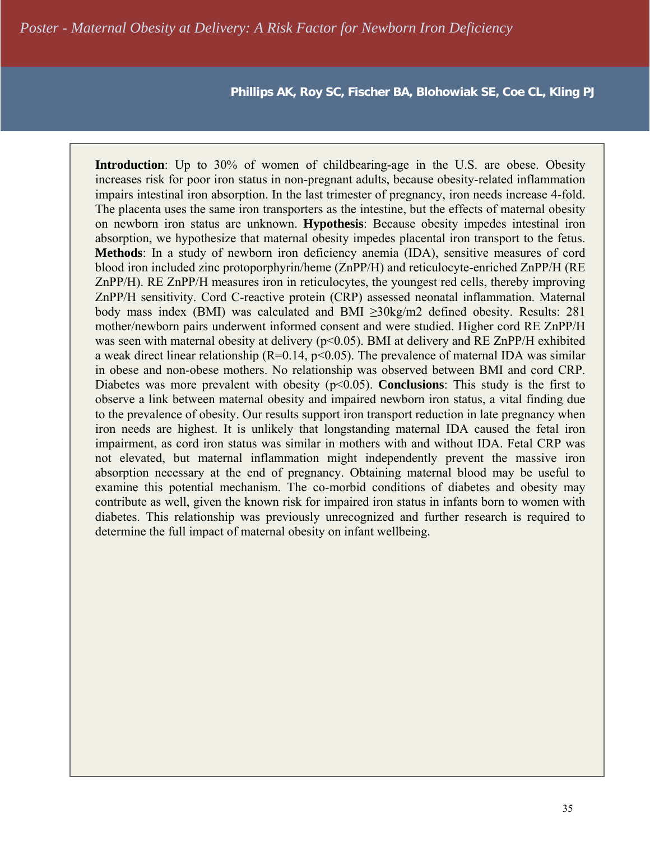**Phillips AK, Roy SC, Fischer BA, Blohowiak SE, Coe CL, Kling PJ** 

**Introduction**: Up to 30% of women of childbearing-age in the U.S. are obese. Obesity increases risk for poor iron status in non-pregnant adults, because obesity-related inflammation impairs intestinal iron absorption. In the last trimester of pregnancy, iron needs increase 4-fold. The placenta uses the same iron transporters as the intestine, but the effects of maternal obesity on newborn iron status are unknown. **Hypothesis**: Because obesity impedes intestinal iron absorption, we hypothesize that maternal obesity impedes placental iron transport to the fetus. **Methods**: In a study of newborn iron deficiency anemia (IDA), sensitive measures of cord blood iron included zinc protoporphyrin/heme (ZnPP/H) and reticulocyte-enriched ZnPP/H (RE ZnPP/H). RE ZnPP/H measures iron in reticulocytes, the youngest red cells, thereby improving ZnPP/H sensitivity. Cord C-reactive protein (CRP) assessed neonatal inflammation. Maternal body mass index (BMI) was calculated and BMI ≥30kg/m2 defined obesity. Results: 281 mother/newborn pairs underwent informed consent and were studied. Higher cord RE ZnPP/H was seen with maternal obesity at delivery ( $p<0.05$ ). BMI at delivery and RE ZnPP/H exhibited a weak direct linear relationship ( $R=0.14$ ,  $p<0.05$ ). The prevalence of maternal IDA was similar in obese and non-obese mothers. No relationship was observed between BMI and cord CRP. Diabetes was more prevalent with obesity (p<0.05). **Conclusions**: This study is the first to observe a link between maternal obesity and impaired newborn iron status, a vital finding due to the prevalence of obesity. Our results support iron transport reduction in late pregnancy when iron needs are highest. It is unlikely that longstanding maternal IDA caused the fetal iron impairment, as cord iron status was similar in mothers with and without IDA. Fetal CRP was not elevated, but maternal inflammation might independently prevent the massive iron absorption necessary at the end of pregnancy. Obtaining maternal blood may be useful to examine this potential mechanism. The co-morbid conditions of diabetes and obesity may contribute as well, given the known risk for impaired iron status in infants born to women with diabetes. This relationship was previously unrecognized and further research is required to determine the full impact of maternal obesity on infant wellbeing.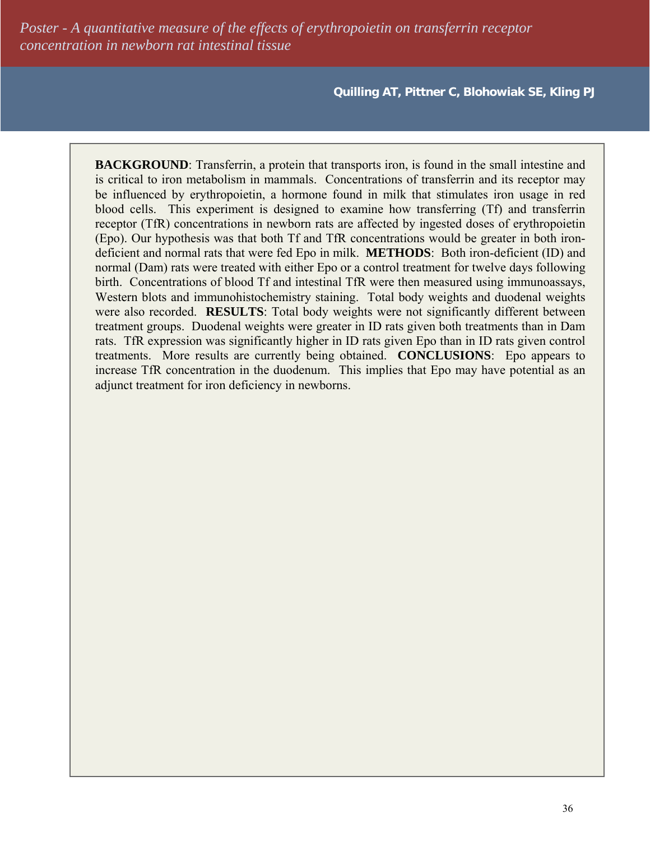*Poster - A quantitative measure of the effects of erythropoietin on transferrin receptor concentration in newborn rat intestinal tissue* 

**Quilling AT, Pittner C, Blohowiak SE, Kling PJ** 

**BACKGROUND**: Transferrin, a protein that transports iron, is found in the small intestine and is critical to iron metabolism in mammals. Concentrations of transferrin and its receptor may be influenced by erythropoietin, a hormone found in milk that stimulates iron usage in red blood cells. This experiment is designed to examine how transferring (Tf) and transferrin receptor (TfR) concentrations in newborn rats are affected by ingested doses of erythropoietin (Epo). Our hypothesis was that both Tf and TfR concentrations would be greater in both irondeficient and normal rats that were fed Epo in milk. **METHODS**: Both iron-deficient (ID) and normal (Dam) rats were treated with either Epo or a control treatment for twelve days following birth. Concentrations of blood Tf and intestinal TfR were then measured using immunoassays, Western blots and immunohistochemistry staining. Total body weights and duodenal weights were also recorded. **RESULTS**: Total body weights were not significantly different between treatment groups. Duodenal weights were greater in ID rats given both treatments than in Dam rats. TfR expression was significantly higher in ID rats given Epo than in ID rats given control treatments. More results are currently being obtained. **CONCLUSIONS**: Epo appears to increase TfR concentration in the duodenum. This implies that Epo may have potential as an adjunct treatment for iron deficiency in newborns.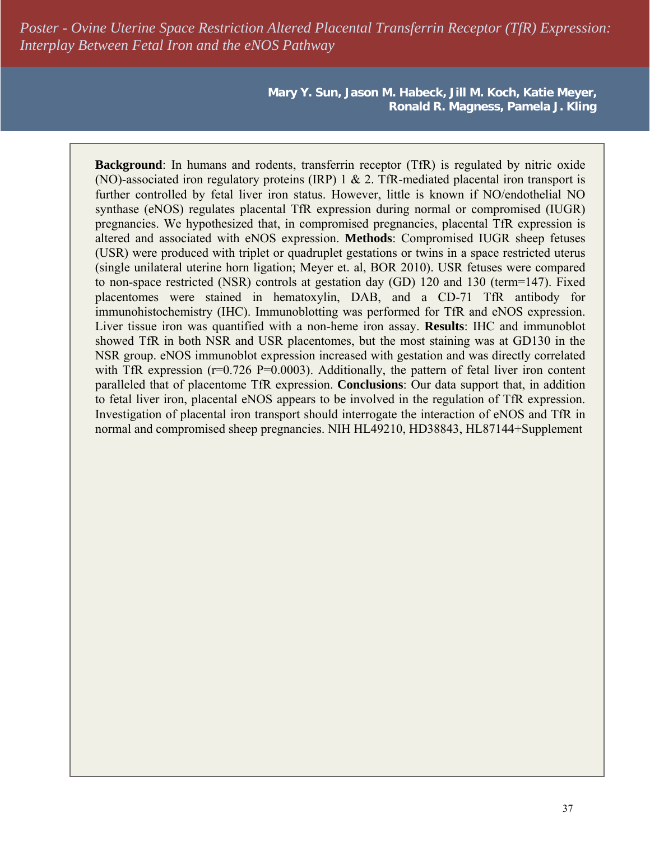*Poster - Ovine Uterine Space Restriction Altered Placental Transferrin Receptor (TfR) Expression: Interplay Between Fetal Iron and the eNOS Pathway* 

> **Mary Y. Sun, Jason M. Habeck, Jill M. Koch, Katie Meyer, Ronald R. Magness, Pamela J. Kling**

**Background**: In humans and rodents, transferrin receptor (TfR) is regulated by nitric oxide (NO)-associated iron regulatory proteins (IRP)  $1 \& 2$ . TfR-mediated placental iron transport is further controlled by fetal liver iron status. However, little is known if NO/endothelial NO synthase (eNOS) regulates placental TfR expression during normal or compromised (IUGR) pregnancies. We hypothesized that, in compromised pregnancies, placental TfR expression is altered and associated with eNOS expression. **Methods**: Compromised IUGR sheep fetuses (USR) were produced with triplet or quadruplet gestations or twins in a space restricted uterus (single unilateral uterine horn ligation; Meyer et. al, BOR 2010). USR fetuses were compared to non-space restricted (NSR) controls at gestation day (GD) 120 and 130 (term=147). Fixed placentomes were stained in hematoxylin, DAB, and a CD-71 TfR antibody for immunohistochemistry (IHC). Immunoblotting was performed for TfR and eNOS expression. Liver tissue iron was quantified with a non-heme iron assay. **Results**: IHC and immunoblot showed TfR in both NSR and USR placentomes, but the most staining was at GD130 in the NSR group. eNOS immunoblot expression increased with gestation and was directly correlated with TfR expression  $(r=0.726 \text{ P}=0.0003)$ . Additionally, the pattern of fetal liver iron content paralleled that of placentome TfR expression. **Conclusions**: Our data support that, in addition to fetal liver iron, placental eNOS appears to be involved in the regulation of TfR expression. Investigation of placental iron transport should interrogate the interaction of eNOS and TfR in normal and compromised sheep pregnancies. NIH HL49210, HD38843, HL87144+Supplement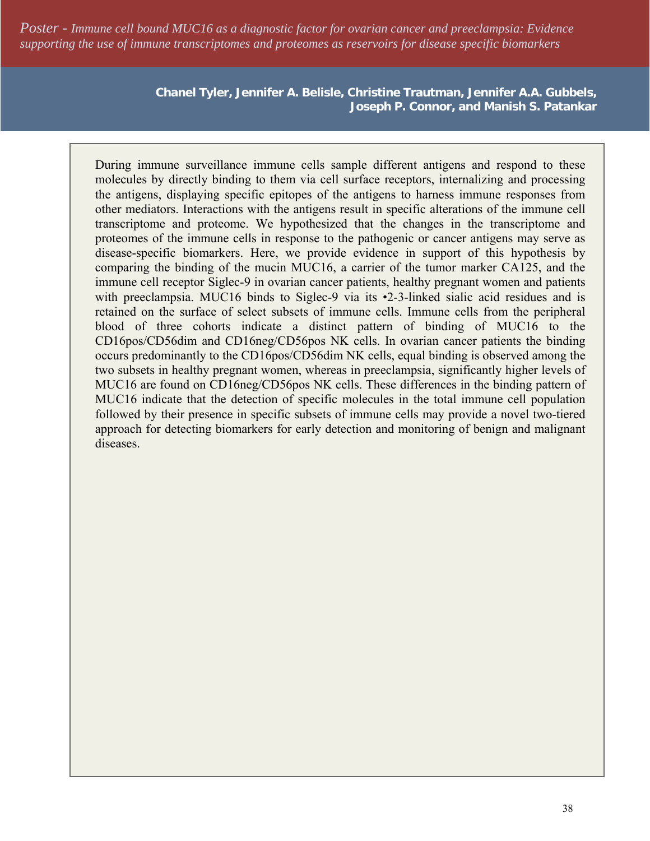*Poster - Immune cell bound MUC16 as a diagnostic factor for ovarian cancer and preeclampsia: Evidence supporting the use of immune transcriptomes and proteomes as reservoirs for disease specific biomarkers* 

> **Chanel Tyler, Jennifer A. Belisle, Christine Trautman, Jennifer A.A. Gubbels, Joseph P. Connor, and Manish S. Patankar**

During immune surveillance immune cells sample different antigens and respond to these molecules by directly binding to them via cell surface receptors, internalizing and processing the antigens, displaying specific epitopes of the antigens to harness immune responses from other mediators. Interactions with the antigens result in specific alterations of the immune cell transcriptome and proteome. We hypothesized that the changes in the transcriptome and proteomes of the immune cells in response to the pathogenic or cancer antigens may serve as disease-specific biomarkers. Here, we provide evidence in support of this hypothesis by comparing the binding of the mucin MUC16, a carrier of the tumor marker CA125, and the immune cell receptor Siglec-9 in ovarian cancer patients, healthy pregnant women and patients with preeclampsia. MUC16 binds to Siglec-9 via its •2-3-linked sialic acid residues and is retained on the surface of select subsets of immune cells. Immune cells from the peripheral blood of three cohorts indicate a distinct pattern of binding of MUC16 to the CD16pos/CD56dim and CD16neg/CD56pos NK cells. In ovarian cancer patients the binding occurs predominantly to the CD16pos/CD56dim NK cells, equal binding is observed among the two subsets in healthy pregnant women, whereas in preeclampsia, significantly higher levels of MUC16 are found on CD16neg/CD56pos NK cells. These differences in the binding pattern of MUC16 indicate that the detection of specific molecules in the total immune cell population followed by their presence in specific subsets of immune cells may provide a novel two-tiered approach for detecting biomarkers for early detection and monitoring of benign and malignant diseases.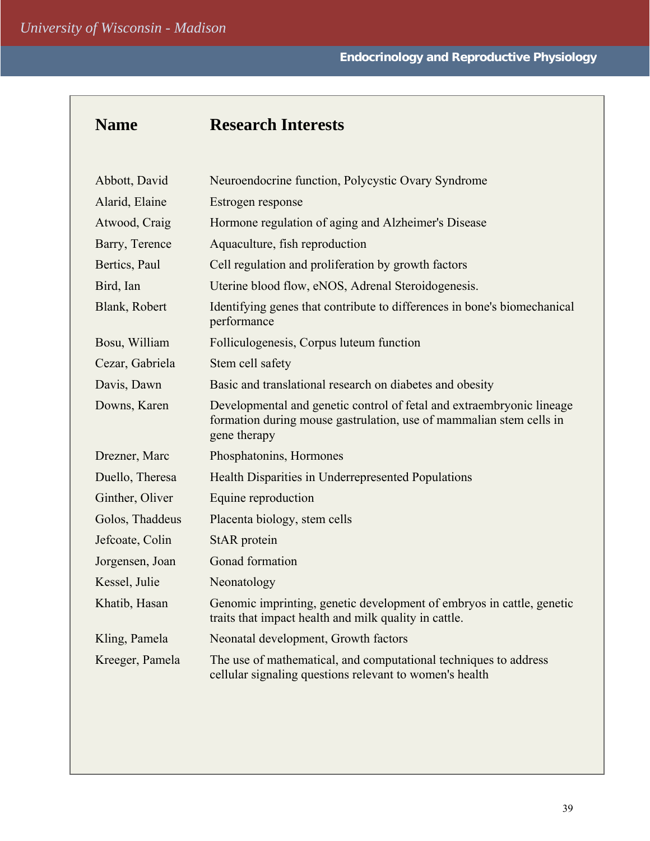## **Name Research Interests**

| Abbott, David   | Neuroendocrine function, Polycystic Ovary Syndrome                                                                                                           |
|-----------------|--------------------------------------------------------------------------------------------------------------------------------------------------------------|
| Alarid, Elaine  | Estrogen response                                                                                                                                            |
| Atwood, Craig   | Hormone regulation of aging and Alzheimer's Disease                                                                                                          |
| Barry, Terence  | Aquaculture, fish reproduction                                                                                                                               |
| Bertics, Paul   | Cell regulation and proliferation by growth factors                                                                                                          |
| Bird, Ian       | Uterine blood flow, eNOS, Adrenal Steroidogenesis.                                                                                                           |
| Blank, Robert   | Identifying genes that contribute to differences in bone's biomechanical<br>performance                                                                      |
| Bosu, William   | Folliculogenesis, Corpus luteum function                                                                                                                     |
| Cezar, Gabriela | Stem cell safety                                                                                                                                             |
| Davis, Dawn     | Basic and translational research on diabetes and obesity                                                                                                     |
| Downs, Karen    | Developmental and genetic control of fetal and extraembryonic lineage<br>formation during mouse gastrulation, use of mammalian stem cells in<br>gene therapy |
| Drezner, Marc   | Phosphatonins, Hormones                                                                                                                                      |
| Duello, Theresa | Health Disparities in Underrepresented Populations                                                                                                           |
| Ginther, Oliver | Equine reproduction                                                                                                                                          |
| Golos, Thaddeus | Placenta biology, stem cells                                                                                                                                 |
| Jefcoate, Colin | <b>StAR</b> protein                                                                                                                                          |
| Jorgensen, Joan | Gonad formation                                                                                                                                              |
| Kessel, Julie   | Neonatology                                                                                                                                                  |
| Khatib, Hasan   | Genomic imprinting, genetic development of embryos in cattle, genetic<br>traits that impact health and milk quality in cattle.                               |
| Kling, Pamela   | Neonatal development, Growth factors                                                                                                                         |
| Kreeger, Pamela | The use of mathematical, and computational techniques to address<br>cellular signaling questions relevant to women's health                                  |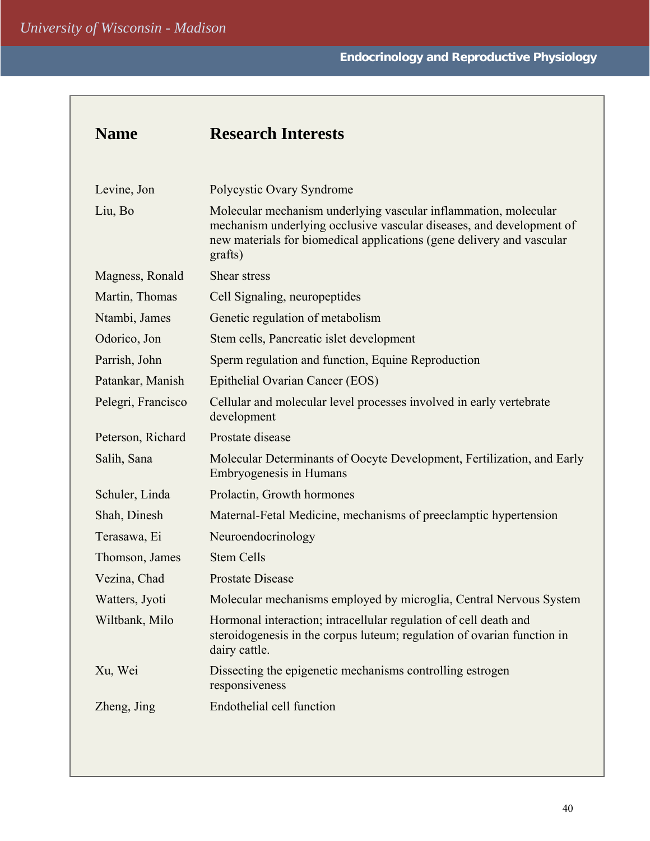| <b>Name</b>        | <b>Research Interests</b>                                                                                                                                                                                                   |
|--------------------|-----------------------------------------------------------------------------------------------------------------------------------------------------------------------------------------------------------------------------|
| Levine, Jon        | Polycystic Ovary Syndrome                                                                                                                                                                                                   |
| Liu, Bo            | Molecular mechanism underlying vascular inflammation, molecular<br>mechanism underlying occlusive vascular diseases, and development of<br>new materials for biomedical applications (gene delivery and vascular<br>grafts) |
| Magness, Ronald    | Shear stress                                                                                                                                                                                                                |
| Martin, Thomas     | Cell Signaling, neuropeptides                                                                                                                                                                                               |
| Ntambi, James      | Genetic regulation of metabolism                                                                                                                                                                                            |
| Odorico, Jon       | Stem cells, Pancreatic islet development                                                                                                                                                                                    |
| Parrish, John      | Sperm regulation and function, Equine Reproduction                                                                                                                                                                          |
| Patankar, Manish   | Epithelial Ovarian Cancer (EOS)                                                                                                                                                                                             |
| Pelegri, Francisco | Cellular and molecular level processes involved in early vertebrate<br>development                                                                                                                                          |
| Peterson, Richard  | Prostate disease                                                                                                                                                                                                            |
| Salih, Sana        | Molecular Determinants of Oocyte Development, Fertilization, and Early<br><b>Embryogenesis in Humans</b>                                                                                                                    |
| Schuler, Linda     | Prolactin, Growth hormones                                                                                                                                                                                                  |
| Shah, Dinesh       | Maternal-Fetal Medicine, mechanisms of preeclamptic hypertension                                                                                                                                                            |
| Terasawa, Ei       | Neuroendocrinology                                                                                                                                                                                                          |
| Thomson, James     | <b>Stem Cells</b>                                                                                                                                                                                                           |
| Vezina, Chad       | <b>Prostate Disease</b>                                                                                                                                                                                                     |
| Watters, Jyoti     | Molecular mechanisms employed by microglia, Central Nervous System                                                                                                                                                          |
| Wiltbank, Milo     | Hormonal interaction; intracellular regulation of cell death and<br>steroidogenesis in the corpus luteum; regulation of ovarian function in<br>dairy cattle.                                                                |
| Xu, Wei            | Dissecting the epigenetic mechanisms controlling estrogen<br>responsiveness                                                                                                                                                 |
| Zheng, Jing        | Endothelial cell function                                                                                                                                                                                                   |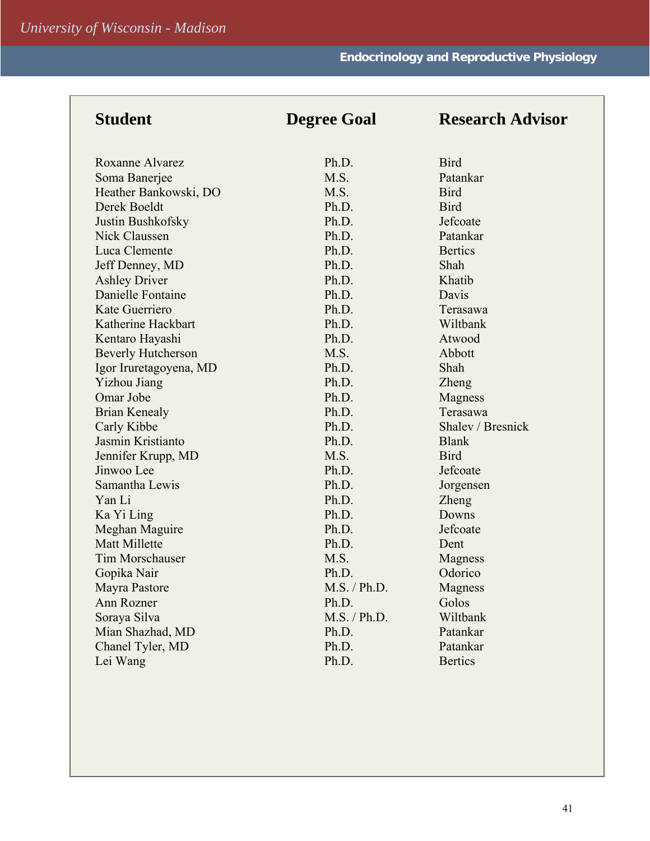| <b>Student</b>            | <b>Degree Goal</b> | <b>Research Advisor</b> |
|---------------------------|--------------------|-------------------------|
| Roxanne Alvarez           | Ph.D.              | <b>Bird</b>             |
| Soma Banerjee             | M.S.               | Patankar                |
| Heather Bankowski, DO     | M.S.               | <b>Bird</b>             |
| Derek Boeldt              | Ph.D.              | <b>Bird</b>             |
| Justin Bushkofsky         | Ph.D.              | Jefcoate                |
| Nick Claussen             | Ph.D.              | Patankar                |
| Luca Clemente             | Ph.D.              | <b>Bertics</b>          |
| Jeff Denney, MD           | Ph.D.              | Shah                    |
| <b>Ashley Driver</b>      | Ph.D.              | Khatib                  |
| Danielle Fontaine         | Ph.D.              | Davis                   |
| Kate Guerriero            | Ph.D.              | Terasawa                |
| Katherine Hackbart        | Ph.D.              | Wiltbank                |
| Kentaro Hayashi           | Ph.D.              | Atwood                  |
| <b>Beverly Hutcherson</b> | M.S.               | Abbott                  |
| Igor Iruretagoyena, MD    | Ph.D.              | Shah                    |
| <b>Yizhou Jiang</b>       | Ph.D.              | Zheng                   |
| Omar Jobe                 | Ph.D.              | <b>Magness</b>          |
| <b>Brian Kenealy</b>      | Ph.D.              | Terasawa                |
| Carly Kibbe               | Ph.D.              | Shalev / Bresnick       |
| Jasmin Kristianto         | Ph.D.              | <b>Blank</b>            |
| Jennifer Krupp, MD        | M.S.               | <b>Bird</b>             |
| Jinwoo Lee                | Ph.D.              | Jefcoate                |
| Samantha Lewis            | Ph.D.              | Jorgensen               |
| Yan Li                    | Ph.D.              | Zheng                   |
| Ka Yi Ling                | Ph.D.              | Downs                   |
| Meghan Maguire            | Ph.D.              | Jefcoate                |
| <b>Matt Millette</b>      | Ph.D.              | Dent                    |
| <b>Tim Morschauser</b>    | M.S.               | <b>Magness</b>          |
| Gopika Nair               | Ph.D.              | Odorico                 |
| Mayra Pastore             | $M.S.$ / $Ph.D.$   | Magness                 |
| Ann Rozner                | Ph.D.              | Golos                   |
| Soraya Silva              | $M.S.$ / $Ph.D.$   | Wiltbank                |
| Mian Shazhad, MD          | Ph.D.              | Patankar                |
| Chanel Tyler, MD          | Ph.D.              | Patankar                |
| Lei Wang                  | Ph.D.              | <b>Bertics</b>          |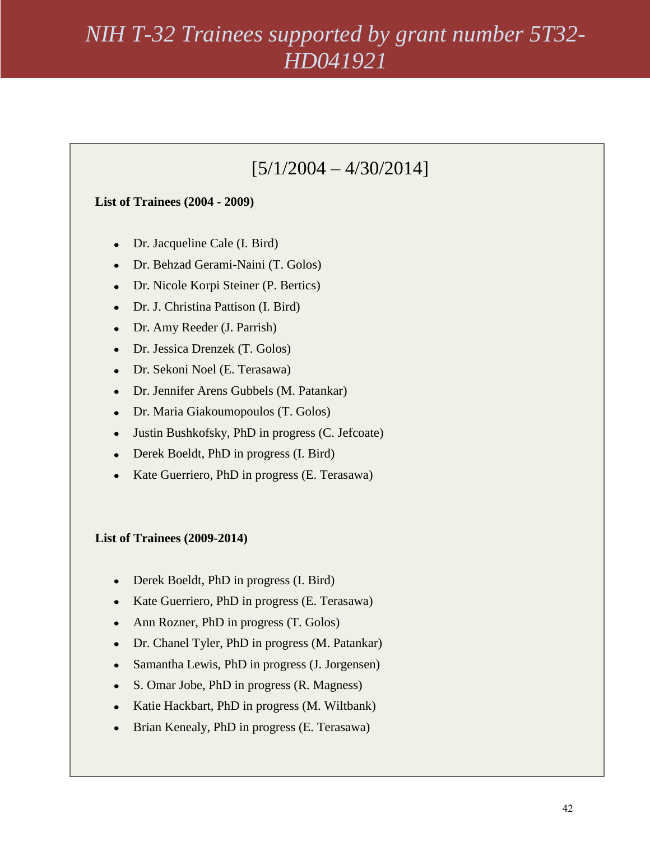# *NIH T-32 Trainees supported by grant number 5T32- HD041921*

## [5/1/2004 – 4/30/2014]

### **List of Trainees (2004 - 2009)**

- Dr. Jacqueline Cale (I. Bird)  $\bullet$
- Dr. Behzad Gerami-Naini (T. Golos)
- Dr. Nicole Korpi Steiner (P. Bertics)
- Dr. J. Christina Pattison (I. Bird)
- Dr. Amy Reeder (J. Parrish)
- Dr. Jessica Drenzek (T. Golos)
- Dr. Sekoni Noel (E. Terasawa)
- Dr. Jennifer Arens Gubbels (M. Patankar)
- Dr. Maria Giakoumopoulos (T. Golos)
- Justin Bushkofsky, PhD in progress (C. Jefcoate)
- Derek Boeldt, PhD in progress (I. Bird)
- Kate Guerriero, PhD in progress (E. Terasawa)  $\bullet$

### **List of Trainees (2009-2014)**

- Derek Boeldt, PhD in progress (I. Bird)  $\bullet$
- Kate Guerriero, PhD in progress (E. Terasawa)
- Ann Rozner, PhD in progress (T. Golos)
- Dr. Chanel Tyler, PhD in progress (M. Patankar)
- Samantha Lewis, PhD in progress (J. Jorgensen)
- S. Omar Jobe, PhD in progress (R. Magness)
- Katie Hackbart, PhD in progress (M. Wiltbank)
- Brian Kenealy, PhD in progress (E. Terasawa)  $\bullet$